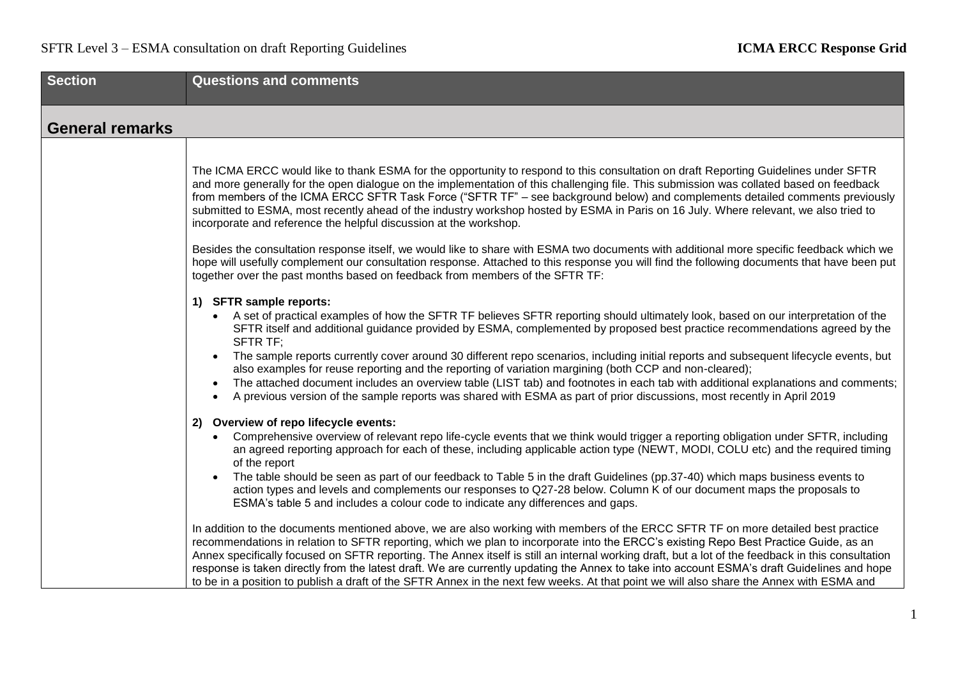| <b>Section</b>         | <b>Questions and comments</b>                                                                                                                                                                                                                                                                                                                                                                                                                                                                                                                                                                                                                                                                                                                                                                                                                               |  |  |  |  |
|------------------------|-------------------------------------------------------------------------------------------------------------------------------------------------------------------------------------------------------------------------------------------------------------------------------------------------------------------------------------------------------------------------------------------------------------------------------------------------------------------------------------------------------------------------------------------------------------------------------------------------------------------------------------------------------------------------------------------------------------------------------------------------------------------------------------------------------------------------------------------------------------|--|--|--|--|
| <b>General remarks</b> |                                                                                                                                                                                                                                                                                                                                                                                                                                                                                                                                                                                                                                                                                                                                                                                                                                                             |  |  |  |  |
|                        |                                                                                                                                                                                                                                                                                                                                                                                                                                                                                                                                                                                                                                                                                                                                                                                                                                                             |  |  |  |  |
|                        | The ICMA ERCC would like to thank ESMA for the opportunity to respond to this consultation on draft Reporting Guidelines under SFTR<br>and more generally for the open dialogue on the implementation of this challenging file. This submission was collated based on feedback<br>from members of the ICMA ERCC SFTR Task Force ("SFTR TF" - see background below) and complements detailed comments previously<br>submitted to ESMA, most recently ahead of the industry workshop hosted by ESMA in Paris on 16 July. Where relevant, we also tried to<br>incorporate and reference the helpful discussion at the workshop.                                                                                                                                                                                                                                |  |  |  |  |
|                        | Besides the consultation response itself, we would like to share with ESMA two documents with additional more specific feedback which we<br>hope will usefully complement our consultation response. Attached to this response you will find the following documents that have been put<br>together over the past months based on feedback from members of the SFTR TF:                                                                                                                                                                                                                                                                                                                                                                                                                                                                                     |  |  |  |  |
|                        | 1) SFTR sample reports:<br>• A set of practical examples of how the SFTR TF believes SFTR reporting should ultimately look, based on our interpretation of the<br>SFTR itself and additional guidance provided by ESMA, complemented by proposed best practice recommendations agreed by the<br><b>SFTR TF:</b><br>The sample reports currently cover around 30 different repo scenarios, including initial reports and subsequent lifecycle events, but<br>$\bullet$<br>also examples for reuse reporting and the reporting of variation margining (both CCP and non-cleared);<br>The attached document includes an overview table (LIST tab) and footnotes in each tab with additional explanations and comments;<br>$\bullet$<br>A previous version of the sample reports was shared with ESMA as part of prior discussions, most recently in April 2019 |  |  |  |  |
|                        | 2) Overview of repo lifecycle events:<br>• Comprehensive overview of relevant repo life-cycle events that we think would trigger a reporting obligation under SFTR, including<br>an agreed reporting approach for each of these, including applicable action type (NEWT, MODI, COLU etc) and the required timing<br>of the report<br>The table should be seen as part of our feedback to Table 5 in the draft Guidelines (pp.37-40) which maps business events to<br>action types and levels and complements our responses to Q27-28 below. Column K of our document maps the proposals to<br>ESMA's table 5 and includes a colour code to indicate any differences and gaps.                                                                                                                                                                               |  |  |  |  |
|                        | In addition to the documents mentioned above, we are also working with members of the ERCC SFTR TF on more detailed best practice<br>recommendations in relation to SFTR reporting, which we plan to incorporate into the ERCC's existing Repo Best Practice Guide, as an<br>Annex specifically focused on SFTR reporting. The Annex itself is still an internal working draft, but a lot of the feedback in this consultation<br>response is taken directly from the latest draft. We are currently updating the Annex to take into account ESMA's draft Guidelines and hope<br>to be in a position to publish a draft of the SFTR Annex in the next few weeks. At that point we will also share the Annex with ESMA and                                                                                                                                   |  |  |  |  |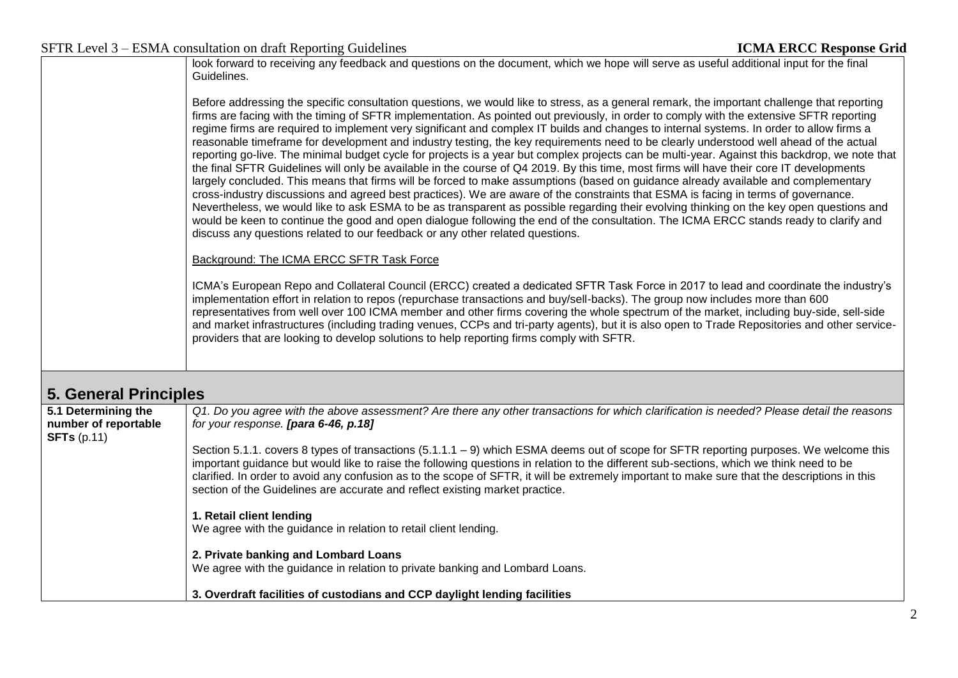look forward to receiving any feedback and questions on the document, which we hope will serve as useful additional input for the final Guidelines.

Before addressing the specific consultation questions, we would like to stress, as a general remark, the important challenge that reporting firms are facing with the timing of SFTR implementation. As pointed out previously, in order to comply with the extensive SFTR reporting regime firms are required to implement very significant and complex IT builds and changes to internal systems. In order to allow firms a reasonable timeframe for development and industry testing, the key requirements need to be clearly understood well ahead of the actual reporting go-live. The minimal budget cycle for projects is a year but complex projects can be multi-year. Against this backdrop, we note that the final SFTR Guidelines will only be available in the course of Q4 2019. By this time, most firms will have their core IT developments largely concluded. This means that firms will be forced to make assumptions (based on guidance already available and complementary cross-industry discussions and agreed best practices). We are aware of the constraints that ESMA is facing in terms of governance. Nevertheless, we would like to ask ESMA to be as transparent as possible regarding their evolving thinking on the key open questions and would be keen to continue the good and open dialogue following the end of the consultation. The ICMA ERCC stands ready to clarify and discuss any questions related to our feedback or any other related questions.

Background: The ICMA ERCC SFTR Task Force

ICMA's European Repo and Collateral Council (ERCC) created a dedicated SFTR Task Force in 2017 to lead and coordinate the industry's implementation effort in relation to repos (repurchase transactions and buy/sell-backs). The group now includes more than 600 representatives from well over 100 ICMA member and other firms covering the whole spectrum of the market, including buy-side, sell-side and market infrastructures (including trading venues, CCPs and tri-party agents), but it is also open to Trade Repositories and other serviceproviders that are looking to develop solutions to help reporting firms comply with SFTR.

## **5. General Principles**

| 5.1 Determining the<br>number of reportable<br>$SFTs$ (p.11) | Q1. Do you agree with the above assessment? Are there any other transactions for which clarification is needed? Please detail the reasons<br>for your response. [para 6-46, p.18]                                                                                                                                                                                                                                                                                                                                  |  |  |  |
|--------------------------------------------------------------|--------------------------------------------------------------------------------------------------------------------------------------------------------------------------------------------------------------------------------------------------------------------------------------------------------------------------------------------------------------------------------------------------------------------------------------------------------------------------------------------------------------------|--|--|--|
|                                                              | Section 5.1.1. covers 8 types of transactions (5.1.1.1 - 9) which ESMA deems out of scope for SFTR reporting purposes. We welcome this<br>important guidance but would like to raise the following questions in relation to the different sub-sections, which we think need to be<br>clarified. In order to avoid any confusion as to the scope of SFTR, it will be extremely important to make sure that the descriptions in this<br>section of the Guidelines are accurate and reflect existing market practice. |  |  |  |
|                                                              | 1. Retail client lending<br>We agree with the guidance in relation to retail client lending.                                                                                                                                                                                                                                                                                                                                                                                                                       |  |  |  |
|                                                              | 2. Private banking and Lombard Loans<br>We agree with the guidance in relation to private banking and Lombard Loans.                                                                                                                                                                                                                                                                                                                                                                                               |  |  |  |
|                                                              | 3. Overdraft facilities of custodians and CCP daylight lending facilities                                                                                                                                                                                                                                                                                                                                                                                                                                          |  |  |  |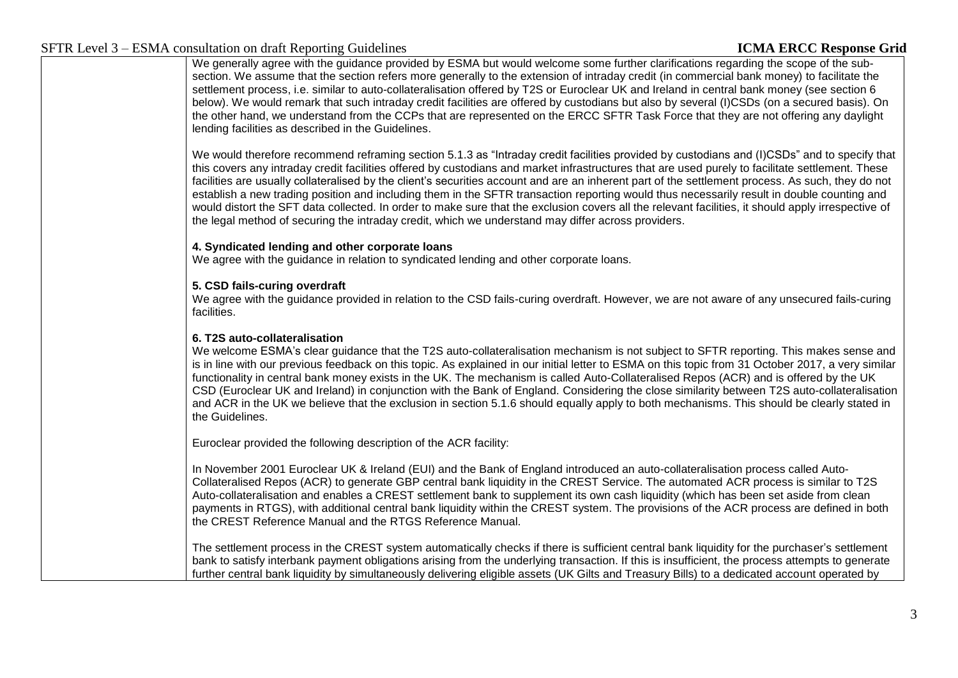We generally agree with the guidance provided by ESMA but would welcome some further clarifications regarding the scope of the subsection. We assume that the section refers more generally to the extension of intraday credit (in commercial bank money) to facilitate the settlement process, i.e. similar to auto-collateralisation offered by T2S or Euroclear UK and Ireland in central bank money (see section 6 below). We would remark that such intraday credit facilities are offered by custodians but also by several (I)CSDs (on a secured basis). On the other hand, we understand from the CCPs that are represented on the ERCC SFTR Task Force that they are not offering any daylight lending facilities as described in the Guidelines.

We would therefore recommend reframing section 5.1.3 as "Intraday credit facilities provided by custodians and (I)CSDs" and to specify that this covers any intraday credit facilities offered by custodians and market infrastructures that are used purely to facilitate settlement. These facilities are usually collateralised by the client's securities account and are an inherent part of the settlement process. As such, they do not establish a new trading position and including them in the SFTR transaction reporting would thus necessarily result in double counting and would distort the SFT data collected. In order to make sure that the exclusion covers all the relevant facilities, it should apply irrespective of the legal method of securing the intraday credit, which we understand may differ across providers.

## **4. Syndicated lending and other corporate loans**

We agree with the guidance in relation to syndicated lending and other corporate loans.

## **5. CSD fails-curing overdraft**

We agree with the guidance provided in relation to the CSD fails-curing overdraft. However, we are not aware of any unsecured fails-curing facilities.

## **6. T2S auto-collateralisation**

We welcome ESMA's clear guidance that the T2S auto-collateralisation mechanism is not subject to SFTR reporting. This makes sense and is in line with our previous feedback on this topic. As explained in our initial letter to ESMA on this topic from 31 October 2017, a very similar functionality in central bank money exists in the UK. The mechanism is called Auto-Collateralised Repos (ACR) and is offered by the UK CSD (Euroclear UK and Ireland) in conjunction with the Bank of England. Considering the close similarity between T2S auto-collateralisation and ACR in the UK we believe that the exclusion in section 5.1.6 should equally apply to both mechanisms. This should be clearly stated in the Guidelines.

Euroclear provided the following description of the ACR facility:

In November 2001 Euroclear UK & Ireland (EUI) and the Bank of England introduced an auto-collateralisation process called Auto-Collateralised Repos (ACR) to generate GBP central bank liquidity in the CREST Service. The automated ACR process is similar to T2S Auto-collateralisation and enables a CREST settlement bank to supplement its own cash liquidity (which has been set aside from clean payments in RTGS), with additional central bank liquidity within the CREST system. The provisions of the ACR process are defined in both the CREST Reference Manual and the RTGS Reference Manual.

The settlement process in the CREST system automatically checks if there is sufficient central bank liquidity for the purchaser's settlement bank to satisfy interbank payment obligations arising from the underlying transaction. If this is insufficient, the process attempts to generate further central bank liquidity by simultaneously delivering eligible assets (UK Gilts and Treasury Bills) to a dedicated account operated by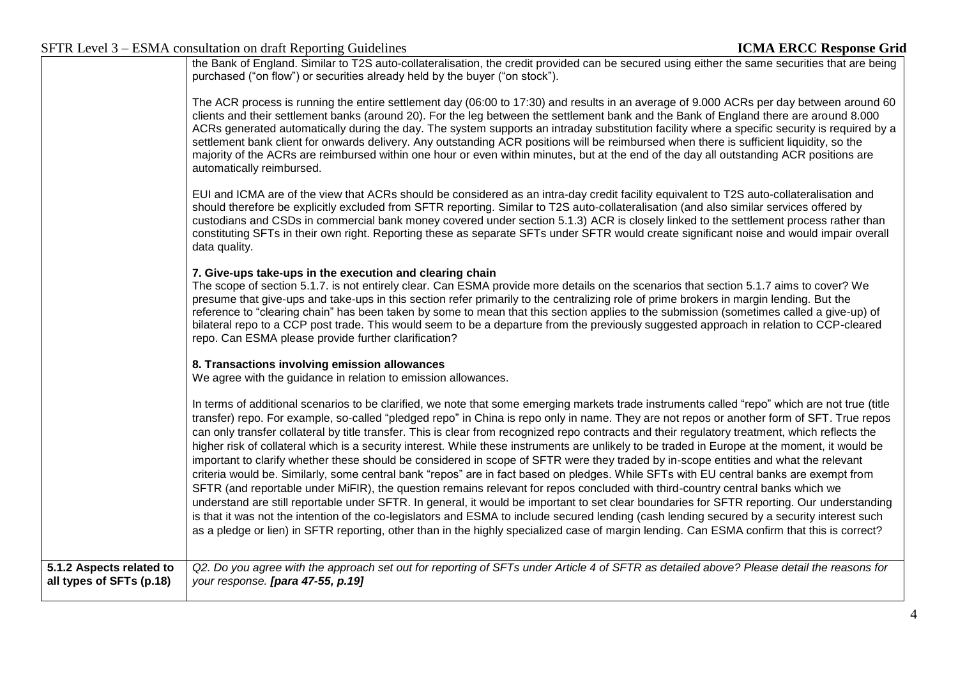|                                                      | the Bank of England. Similar to T2S auto-collateralisation, the credit provided can be secured using either the same securities that are being<br>purchased ("on flow") or securities already held by the buyer ("on stock").                                                                                                                                                                                                                                                                                                                                                                                                                                                                                                                                                                                                                                                                                                                                                                                                                                                                                                                                                                                                                                                                                                                                                                                                                                       |
|------------------------------------------------------|---------------------------------------------------------------------------------------------------------------------------------------------------------------------------------------------------------------------------------------------------------------------------------------------------------------------------------------------------------------------------------------------------------------------------------------------------------------------------------------------------------------------------------------------------------------------------------------------------------------------------------------------------------------------------------------------------------------------------------------------------------------------------------------------------------------------------------------------------------------------------------------------------------------------------------------------------------------------------------------------------------------------------------------------------------------------------------------------------------------------------------------------------------------------------------------------------------------------------------------------------------------------------------------------------------------------------------------------------------------------------------------------------------------------------------------------------------------------|
|                                                      | The ACR process is running the entire settlement day (06:00 to 17:30) and results in an average of 9.000 ACRs per day between around 60<br>clients and their settlement banks (around 20). For the leg between the settlement bank and the Bank of England there are around 8.000<br>ACRs generated automatically during the day. The system supports an intraday substitution facility where a specific security is required by a<br>settlement bank client for onwards delivery. Any outstanding ACR positions will be reimbursed when there is sufficient liquidity, so the<br>majority of the ACRs are reimbursed within one hour or even within minutes, but at the end of the day all outstanding ACR positions are<br>automatically reimbursed.                                                                                                                                                                                                                                                                                                                                                                                                                                                                                                                                                                                                                                                                                                              |
|                                                      | EUI and ICMA are of the view that ACRs should be considered as an intra-day credit facility equivalent to T2S auto-collateralisation and<br>should therefore be explicitly excluded from SFTR reporting. Similar to T2S auto-collateralisation (and also similar services offered by<br>custodians and CSDs in commercial bank money covered under section 5.1.3) ACR is closely linked to the settlement process rather than<br>constituting SFTs in their own right. Reporting these as separate SFTs under SFTR would create significant noise and would impair overall<br>data quality.                                                                                                                                                                                                                                                                                                                                                                                                                                                                                                                                                                                                                                                                                                                                                                                                                                                                         |
|                                                      | 7. Give-ups take-ups in the execution and clearing chain<br>The scope of section 5.1.7. is not entirely clear. Can ESMA provide more details on the scenarios that section 5.1.7 aims to cover? We<br>presume that give-ups and take-ups in this section refer primarily to the centralizing role of prime brokers in margin lending. But the<br>reference to "clearing chain" has been taken by some to mean that this section applies to the submission (sometimes called a give-up) of<br>bilateral repo to a CCP post trade. This would seem to be a departure from the previously suggested approach in relation to CCP-cleared<br>repo. Can ESMA please provide further clarification?                                                                                                                                                                                                                                                                                                                                                                                                                                                                                                                                                                                                                                                                                                                                                                        |
|                                                      | 8. Transactions involving emission allowances<br>We agree with the guidance in relation to emission allowances.                                                                                                                                                                                                                                                                                                                                                                                                                                                                                                                                                                                                                                                                                                                                                                                                                                                                                                                                                                                                                                                                                                                                                                                                                                                                                                                                                     |
|                                                      | In terms of additional scenarios to be clarified, we note that some emerging markets trade instruments called "repo" which are not true (title<br>transfer) repo. For example, so-called "pledged repo" in China is repo only in name. They are not repos or another form of SFT. True repos<br>can only transfer collateral by title transfer. This is clear from recognized repo contracts and their regulatory treatment, which reflects the<br>higher risk of collateral which is a security interest. While these instruments are unlikely to be traded in Europe at the moment, it would be<br>important to clarify whether these should be considered in scope of SFTR were they traded by in-scope entities and what the relevant<br>criteria would be. Similarly, some central bank "repos" are in fact based on pledges. While SFTs with EU central banks are exempt from<br>SFTR (and reportable under MiFIR), the question remains relevant for repos concluded with third-country central banks which we<br>understand are still reportable under SFTR. In general, it would be important to set clear boundaries for SFTR reporting. Our understanding<br>is that it was not the intention of the co-legislators and ESMA to include secured lending (cash lending secured by a security interest such<br>as a pledge or lien) in SFTR reporting, other than in the highly specialized case of margin lending. Can ESMA confirm that this is correct? |
| 5.1.2 Aspects related to<br>all types of SFTs (p.18) | Q2. Do you agree with the approach set out for reporting of SFTs under Article 4 of SFTR as detailed above? Please detail the reasons for<br>your response. [para 47-55, p.19]                                                                                                                                                                                                                                                                                                                                                                                                                                                                                                                                                                                                                                                                                                                                                                                                                                                                                                                                                                                                                                                                                                                                                                                                                                                                                      |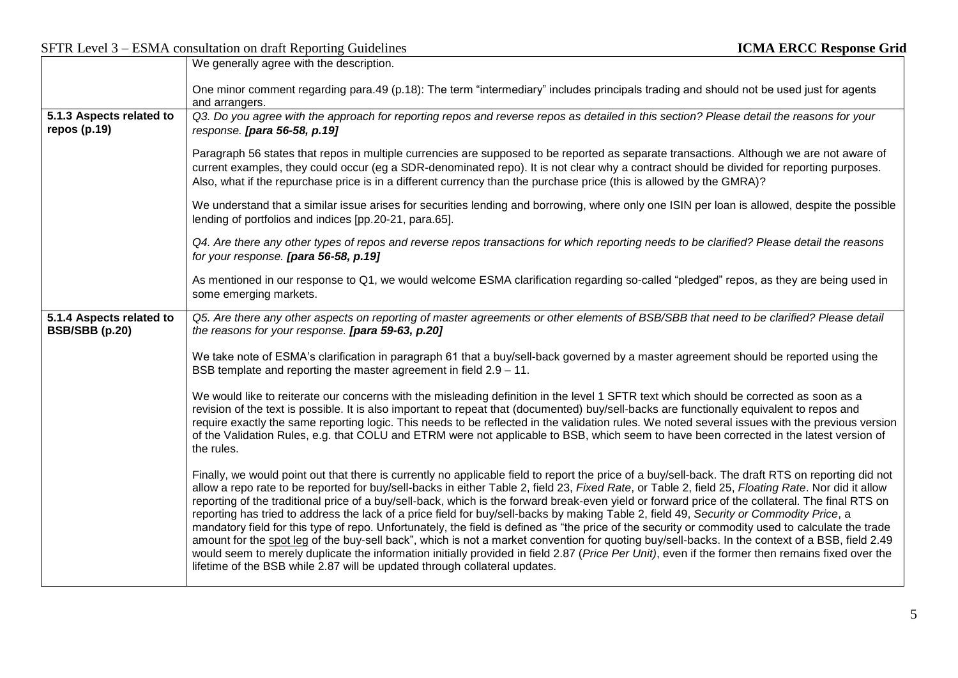|                                            | We generally agree with the description.                                                                                                                                                                                                                                                                                                                                                                                                                                                                                                                                                                                                                                                                                                                                                                                                                                                                                                                                                                                                                                                                                                           |
|--------------------------------------------|----------------------------------------------------------------------------------------------------------------------------------------------------------------------------------------------------------------------------------------------------------------------------------------------------------------------------------------------------------------------------------------------------------------------------------------------------------------------------------------------------------------------------------------------------------------------------------------------------------------------------------------------------------------------------------------------------------------------------------------------------------------------------------------------------------------------------------------------------------------------------------------------------------------------------------------------------------------------------------------------------------------------------------------------------------------------------------------------------------------------------------------------------|
|                                            | One minor comment regarding para.49 (p.18): The term "intermediary" includes principals trading and should not be used just for agents<br>and arrangers.                                                                                                                                                                                                                                                                                                                                                                                                                                                                                                                                                                                                                                                                                                                                                                                                                                                                                                                                                                                           |
| 5.1.3 Aspects related to<br>repos $(p.19)$ | Q3. Do you agree with the approach for reporting repos and reverse repos as detailed in this section? Please detail the reasons for your<br>response. [para 56-58, p.19]                                                                                                                                                                                                                                                                                                                                                                                                                                                                                                                                                                                                                                                                                                                                                                                                                                                                                                                                                                           |
|                                            | Paragraph 56 states that repos in multiple currencies are supposed to be reported as separate transactions. Although we are not aware of<br>current examples, they could occur (eg a SDR-denominated repo). It is not clear why a contract should be divided for reporting purposes.<br>Also, what if the repurchase price is in a different currency than the purchase price (this is allowed by the GMRA)?                                                                                                                                                                                                                                                                                                                                                                                                                                                                                                                                                                                                                                                                                                                                       |
|                                            | We understand that a similar issue arises for securities lending and borrowing, where only one ISIN per loan is allowed, despite the possible<br>lending of portfolios and indices [pp.20-21, para.65].                                                                                                                                                                                                                                                                                                                                                                                                                                                                                                                                                                                                                                                                                                                                                                                                                                                                                                                                            |
|                                            | Q4. Are there any other types of repos and reverse repos transactions for which reporting needs to be clarified? Please detail the reasons<br>for your response. [para 56-58, p.19]                                                                                                                                                                                                                                                                                                                                                                                                                                                                                                                                                                                                                                                                                                                                                                                                                                                                                                                                                                |
|                                            | As mentioned in our response to Q1, we would welcome ESMA clarification regarding so-called "pledged" repos, as they are being used in<br>some emerging markets.                                                                                                                                                                                                                                                                                                                                                                                                                                                                                                                                                                                                                                                                                                                                                                                                                                                                                                                                                                                   |
| 5.1.4 Aspects related to<br>BSB/SBB (p.20) | Q5. Are there any other aspects on reporting of master agreements or other elements of BSB/SBB that need to be clarified? Please detail<br>the reasons for your response. [para 59-63, p.20]                                                                                                                                                                                                                                                                                                                                                                                                                                                                                                                                                                                                                                                                                                                                                                                                                                                                                                                                                       |
|                                            | We take note of ESMA's clarification in paragraph 61 that a buy/sell-back governed by a master agreement should be reported using the<br>BSB template and reporting the master agreement in field 2.9 - 11.                                                                                                                                                                                                                                                                                                                                                                                                                                                                                                                                                                                                                                                                                                                                                                                                                                                                                                                                        |
|                                            | We would like to reiterate our concerns with the misleading definition in the level 1 SFTR text which should be corrected as soon as a<br>revision of the text is possible. It is also important to repeat that (documented) buy/sell-backs are functionally equivalent to repos and<br>require exactly the same reporting logic. This needs to be reflected in the validation rules. We noted several issues with the previous version<br>of the Validation Rules, e.g. that COLU and ETRM were not applicable to BSB, which seem to have been corrected in the latest version of<br>the rules.                                                                                                                                                                                                                                                                                                                                                                                                                                                                                                                                                   |
|                                            | Finally, we would point out that there is currently no applicable field to report the price of a buy/sell-back. The draft RTS on reporting did not<br>allow a repo rate to be reported for buy/sell-backs in either Table 2, field 23, Fixed Rate, or Table 2, field 25, Floating Rate. Nor did it allow<br>reporting of the traditional price of a buy/sell-back, which is the forward break-even yield or forward price of the collateral. The final RTS on<br>reporting has tried to address the lack of a price field for buy/sell-backs by making Table 2, field 49, Security or Commodity Price, a<br>mandatory field for this type of repo. Unfortunately, the field is defined as "the price of the security or commodity used to calculate the trade<br>amount for the spot leg of the buy-sell back", which is not a market convention for quoting buy/sell-backs. In the context of a BSB, field 2.49<br>would seem to merely duplicate the information initially provided in field 2.87 (Price Per Unit), even if the former then remains fixed over the<br>lifetime of the BSB while 2.87 will be updated through collateral updates. |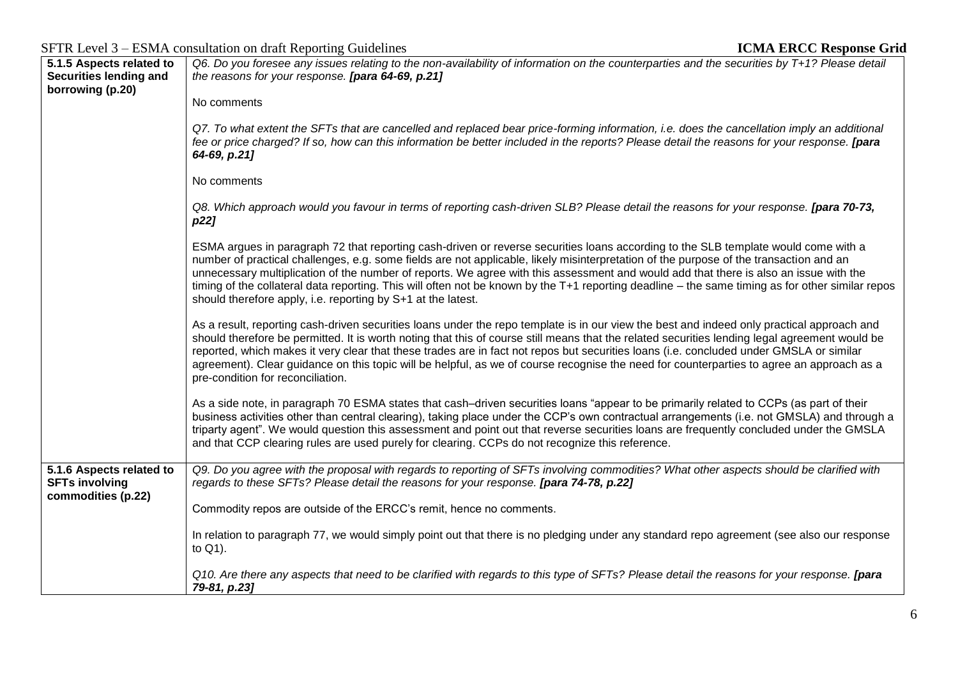SFTR Level 3 – ESMA consultation on draft Reporting Guidelines **ICMA ERCC Response Grid**

| 5.1.5 Aspects related to<br><b>Securities lending and</b> | Q6. Do you foresee any issues relating to the non-availability of information on the counterparties and the securities by T+1? Please detail<br>the reasons for your response. [para 64-69, p.21]                                                                                                                                                                                                                                                                                                                                                                                                                                         |
|-----------------------------------------------------------|-------------------------------------------------------------------------------------------------------------------------------------------------------------------------------------------------------------------------------------------------------------------------------------------------------------------------------------------------------------------------------------------------------------------------------------------------------------------------------------------------------------------------------------------------------------------------------------------------------------------------------------------|
| borrowing (p.20)                                          | No comments                                                                                                                                                                                                                                                                                                                                                                                                                                                                                                                                                                                                                               |
|                                                           | Q7. To what extent the SFTs that are cancelled and replaced bear price-forming information, i.e. does the cancellation imply an additional<br>fee or price charged? If so, how can this information be better included in the reports? Please detail the reasons for your response. [para<br>64-69, p.21]                                                                                                                                                                                                                                                                                                                                 |
|                                                           | No comments                                                                                                                                                                                                                                                                                                                                                                                                                                                                                                                                                                                                                               |
|                                                           | Q8. Which approach would you favour in terms of reporting cash-driven SLB? Please detail the reasons for your response. [para 70-73,<br>p22]                                                                                                                                                                                                                                                                                                                                                                                                                                                                                              |
|                                                           | ESMA argues in paragraph 72 that reporting cash-driven or reverse securities loans according to the SLB template would come with a<br>number of practical challenges, e.g. some fields are not applicable, likely misinterpretation of the purpose of the transaction and an<br>unnecessary multiplication of the number of reports. We agree with this assessment and would add that there is also an issue with the<br>timing of the collateral data reporting. This will often not be known by the T+1 reporting deadline - the same timing as for other similar repos<br>should therefore apply, i.e. reporting by S+1 at the latest. |
|                                                           | As a result, reporting cash-driven securities loans under the repo template is in our view the best and indeed only practical approach and<br>should therefore be permitted. It is worth noting that this of course still means that the related securities lending legal agreement would be<br>reported, which makes it very clear that these trades are in fact not repos but securities loans (i.e. concluded under GMSLA or similar<br>agreement). Clear guidance on this topic will be helpful, as we of course recognise the need for counterparties to agree an approach as a<br>pre-condition for reconciliation.                 |
|                                                           | As a side note, in paragraph 70 ESMA states that cash-driven securities loans "appear to be primarily related to CCPs (as part of their<br>business activities other than central clearing), taking place under the CCP's own contractual arrangements (i.e. not GMSLA) and through a<br>triparty agent". We would question this assessment and point out that reverse securities loans are frequently concluded under the GMSLA<br>and that CCP clearing rules are used purely for clearing. CCPs do not recognize this reference.                                                                                                       |
| 5.1.6 Aspects related to<br><b>SFTs involving</b>         | Q9. Do you agree with the proposal with regards to reporting of SFTs involving commodities? What other aspects should be clarified with<br>regards to these SFTs? Please detail the reasons for your response. [para 74-78, p.22]                                                                                                                                                                                                                                                                                                                                                                                                         |
| commodities (p.22)                                        | Commodity repos are outside of the ERCC's remit, hence no comments.                                                                                                                                                                                                                                                                                                                                                                                                                                                                                                                                                                       |
|                                                           | In relation to paragraph 77, we would simply point out that there is no pledging under any standard repo agreement (see also our response<br>to Q1).                                                                                                                                                                                                                                                                                                                                                                                                                                                                                      |
|                                                           | Q10. Are there any aspects that need to be clarified with regards to this type of SFTs? Please detail the reasons for your response. [para<br>79-81, p.23]                                                                                                                                                                                                                                                                                                                                                                                                                                                                                |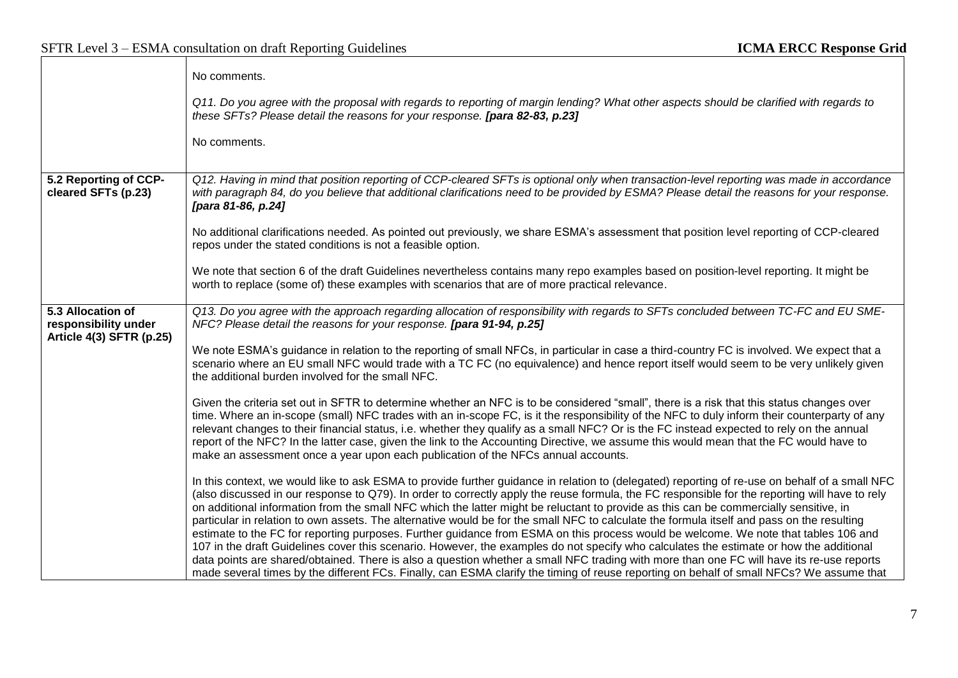|                                                                       | No comments.                                                                                                                                                                                                                                                                                                                                                                                                                                                                                                                                                                                                                                                                                                                                                                                                                                                                                                                                                                                                                                                                                                                                                      |
|-----------------------------------------------------------------------|-------------------------------------------------------------------------------------------------------------------------------------------------------------------------------------------------------------------------------------------------------------------------------------------------------------------------------------------------------------------------------------------------------------------------------------------------------------------------------------------------------------------------------------------------------------------------------------------------------------------------------------------------------------------------------------------------------------------------------------------------------------------------------------------------------------------------------------------------------------------------------------------------------------------------------------------------------------------------------------------------------------------------------------------------------------------------------------------------------------------------------------------------------------------|
|                                                                       | Q11. Do you agree with the proposal with regards to reporting of margin lending? What other aspects should be clarified with regards to<br>these SFTs? Please detail the reasons for your response. [para 82-83, p.23]                                                                                                                                                                                                                                                                                                                                                                                                                                                                                                                                                                                                                                                                                                                                                                                                                                                                                                                                            |
|                                                                       | No comments.                                                                                                                                                                                                                                                                                                                                                                                                                                                                                                                                                                                                                                                                                                                                                                                                                                                                                                                                                                                                                                                                                                                                                      |
| 5.2 Reporting of CCP-<br>cleared SFTs (p.23)                          | Q12. Having in mind that position reporting of CCP-cleared SFTs is optional only when transaction-level reporting was made in accordance<br>with paragraph 84, do you believe that additional clarifications need to be provided by ESMA? Please detail the reasons for your response.<br>[para 81-86, p.24]                                                                                                                                                                                                                                                                                                                                                                                                                                                                                                                                                                                                                                                                                                                                                                                                                                                      |
|                                                                       | No additional clarifications needed. As pointed out previously, we share ESMA's assessment that position level reporting of CCP-cleared<br>repos under the stated conditions is not a feasible option.                                                                                                                                                                                                                                                                                                                                                                                                                                                                                                                                                                                                                                                                                                                                                                                                                                                                                                                                                            |
|                                                                       | We note that section 6 of the draft Guidelines nevertheless contains many repo examples based on position-level reporting. It might be<br>worth to replace (some of) these examples with scenarios that are of more practical relevance.                                                                                                                                                                                                                                                                                                                                                                                                                                                                                                                                                                                                                                                                                                                                                                                                                                                                                                                          |
| 5.3 Allocation of<br>responsibility under<br>Article 4(3) SFTR (p.25) | Q13. Do you agree with the approach regarding allocation of responsibility with regards to SFTs concluded between TC-FC and EU SME-<br>NFC? Please detail the reasons for your response. [para 91-94, p.25]                                                                                                                                                                                                                                                                                                                                                                                                                                                                                                                                                                                                                                                                                                                                                                                                                                                                                                                                                       |
|                                                                       | We note ESMA's guidance in relation to the reporting of small NFCs, in particular in case a third-country FC is involved. We expect that a<br>scenario where an EU small NFC would trade with a TC FC (no equivalence) and hence report itself would seem to be very unlikely given<br>the additional burden involved for the small NFC.                                                                                                                                                                                                                                                                                                                                                                                                                                                                                                                                                                                                                                                                                                                                                                                                                          |
|                                                                       | Given the criteria set out in SFTR to determine whether an NFC is to be considered "small", there is a risk that this status changes over<br>time. Where an in-scope (small) NFC trades with an in-scope FC, is it the responsibility of the NFC to duly inform their counterparty of any<br>relevant changes to their financial status, i.e. whether they qualify as a small NFC? Or is the FC instead expected to rely on the annual<br>report of the NFC? In the latter case, given the link to the Accounting Directive, we assume this would mean that the FC would have to<br>make an assessment once a year upon each publication of the NFCs annual accounts.                                                                                                                                                                                                                                                                                                                                                                                                                                                                                             |
|                                                                       | In this context, we would like to ask ESMA to provide further guidance in relation to (delegated) reporting of re-use on behalf of a small NFC<br>(also discussed in our response to Q79). In order to correctly apply the reuse formula, the FC responsible for the reporting will have to rely<br>on additional information from the small NFC which the latter might be reluctant to provide as this can be commercially sensitive, in<br>particular in relation to own assets. The alternative would be for the small NFC to calculate the formula itself and pass on the resulting<br>estimate to the FC for reporting purposes. Further guidance from ESMA on this process would be welcome. We note that tables 106 and<br>107 in the draft Guidelines cover this scenario. However, the examples do not specify who calculates the estimate or how the additional<br>data points are shared/obtained. There is also a question whether a small NFC trading with more than one FC will have its re-use reports<br>made several times by the different FCs. Finally, can ESMA clarify the timing of reuse reporting on behalf of small NFCs? We assume that |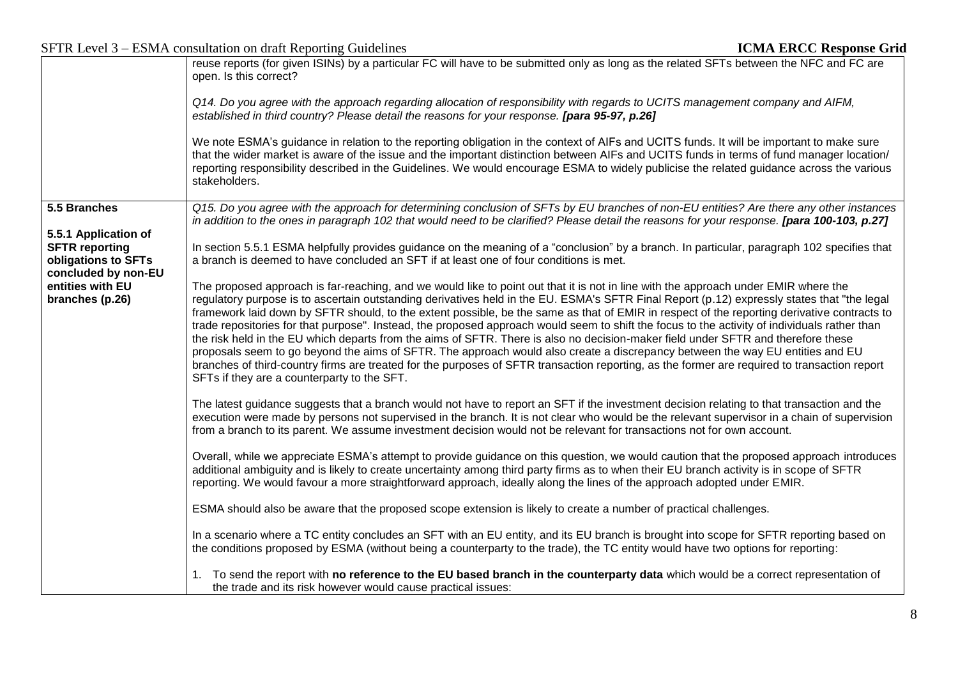|                                                                                             | reuse reports (for given ISINs) by a particular FC will have to be submitted only as long as the related SFTs between the NFC and FC are<br>open. Is this correct?                                                                                                                                                                                                                                                                                                                                                                                                                                                                                                                                                                                                                                                                                                                                                                                                                                                                                      |
|---------------------------------------------------------------------------------------------|---------------------------------------------------------------------------------------------------------------------------------------------------------------------------------------------------------------------------------------------------------------------------------------------------------------------------------------------------------------------------------------------------------------------------------------------------------------------------------------------------------------------------------------------------------------------------------------------------------------------------------------------------------------------------------------------------------------------------------------------------------------------------------------------------------------------------------------------------------------------------------------------------------------------------------------------------------------------------------------------------------------------------------------------------------|
|                                                                                             | Q14. Do you agree with the approach regarding allocation of responsibility with regards to UCITS management company and AIFM,<br>established in third country? Please detail the reasons for your response. [para 95-97, p.26]                                                                                                                                                                                                                                                                                                                                                                                                                                                                                                                                                                                                                                                                                                                                                                                                                          |
|                                                                                             | We note ESMA's guidance in relation to the reporting obligation in the context of AIFs and UCITS funds. It will be important to make sure<br>that the wider market is aware of the issue and the important distinction between AIFs and UCITS funds in terms of fund manager location/<br>reporting responsibility described in the Guidelines. We would encourage ESMA to widely publicise the related guidance across the various<br>stakeholders.                                                                                                                                                                                                                                                                                                                                                                                                                                                                                                                                                                                                    |
| 5.5 Branches                                                                                | Q15. Do you agree with the approach for determining conclusion of SFTs by EU branches of non-EU entities? Are there any other instances<br>in addition to the ones in paragraph 102 that would need to be clarified? Please detail the reasons for your response. [para 100-103, p.27]                                                                                                                                                                                                                                                                                                                                                                                                                                                                                                                                                                                                                                                                                                                                                                  |
| 5.5.1 Application of<br><b>SFTR reporting</b><br>obligations to SFTs<br>concluded by non-EU | In section 5.5.1 ESMA helpfully provides guidance on the meaning of a "conclusion" by a branch. In particular, paragraph 102 specifies that<br>a branch is deemed to have concluded an SFT if at least one of four conditions is met.                                                                                                                                                                                                                                                                                                                                                                                                                                                                                                                                                                                                                                                                                                                                                                                                                   |
| entities with EU<br>branches (p.26)                                                         | The proposed approach is far-reaching, and we would like to point out that it is not in line with the approach under EMIR where the<br>regulatory purpose is to ascertain outstanding derivatives held in the EU. ESMA's SFTR Final Report (p.12) expressly states that "the legal<br>framework laid down by SFTR should, to the extent possible, be the same as that of EMIR in respect of the reporting derivative contracts to<br>trade repositories for that purpose". Instead, the proposed approach would seem to shift the focus to the activity of individuals rather than<br>the risk held in the EU which departs from the aims of SFTR. There is also no decision-maker field under SFTR and therefore these<br>proposals seem to go beyond the aims of SFTR. The approach would also create a discrepancy between the way EU entities and EU<br>branches of third-country firms are treated for the purposes of SFTR transaction reporting, as the former are required to transaction report<br>SFTs if they are a counterparty to the SFT. |
|                                                                                             | The latest guidance suggests that a branch would not have to report an SFT if the investment decision relating to that transaction and the<br>execution were made by persons not supervised in the branch. It is not clear who would be the relevant supervisor in a chain of supervision<br>from a branch to its parent. We assume investment decision would not be relevant for transactions not for own account.                                                                                                                                                                                                                                                                                                                                                                                                                                                                                                                                                                                                                                     |
|                                                                                             | Overall, while we appreciate ESMA's attempt to provide guidance on this question, we would caution that the proposed approach introduces<br>additional ambiguity and is likely to create uncertainty among third party firms as to when their EU branch activity is in scope of SFTR<br>reporting. We would favour a more straightforward approach, ideally along the lines of the approach adopted under EMIR.                                                                                                                                                                                                                                                                                                                                                                                                                                                                                                                                                                                                                                         |
|                                                                                             | ESMA should also be aware that the proposed scope extension is likely to create a number of practical challenges.                                                                                                                                                                                                                                                                                                                                                                                                                                                                                                                                                                                                                                                                                                                                                                                                                                                                                                                                       |
|                                                                                             | In a scenario where a TC entity concludes an SFT with an EU entity, and its EU branch is brought into scope for SFTR reporting based on<br>the conditions proposed by ESMA (without being a counterparty to the trade), the TC entity would have two options for reporting:                                                                                                                                                                                                                                                                                                                                                                                                                                                                                                                                                                                                                                                                                                                                                                             |
|                                                                                             | 1. To send the report with no reference to the EU based branch in the counterparty data which would be a correct representation of<br>the trade and its risk however would cause practical issues:                                                                                                                                                                                                                                                                                                                                                                                                                                                                                                                                                                                                                                                                                                                                                                                                                                                      |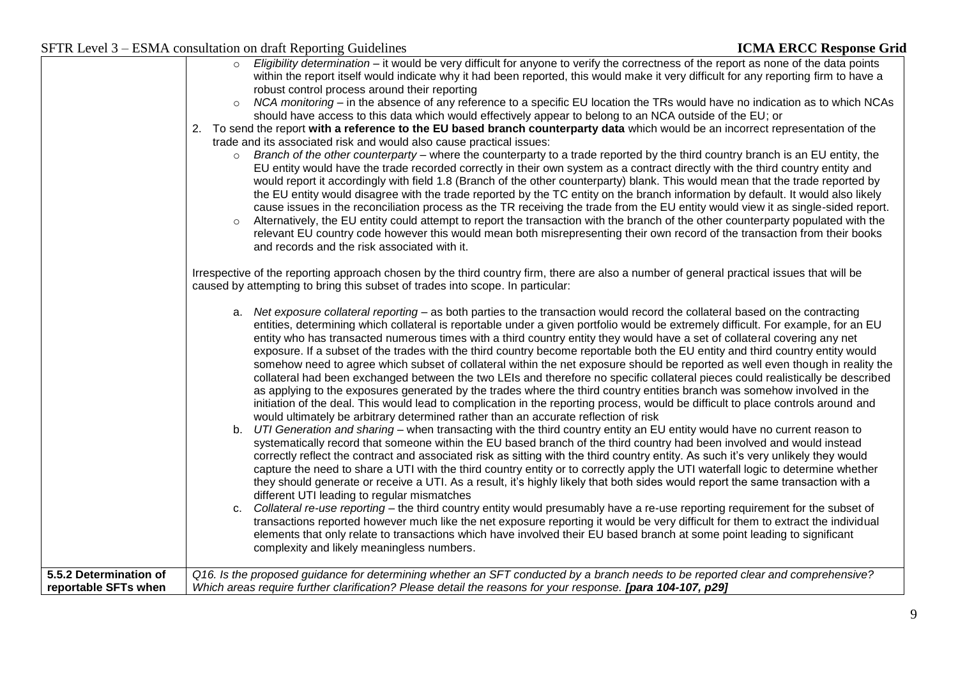| SFTR Level 3 – ESMA consultation on draft Reporting Guidelines |  |  |  |
|----------------------------------------------------------------|--|--|--|
|                                                                |  |  |  |

| 5.5.2 Determination of<br>reportable SFTs when | Q16. Is the proposed guidance for determining whether an SFT conducted by a branch needs to be reported clear and comprehensive?<br>Which areas require further clarification? Please detail the reasons for your response. [para 104-107, p29]                                                                                                                                                                                                                                                                                                                                                                                                                                                                                                                                                                                                                                                                                                                                                                                                                                                                                                                                                                                                                                                                                                                                                                                                                                                                                                                                                                                                                                                                                                                                               |
|------------------------------------------------|-----------------------------------------------------------------------------------------------------------------------------------------------------------------------------------------------------------------------------------------------------------------------------------------------------------------------------------------------------------------------------------------------------------------------------------------------------------------------------------------------------------------------------------------------------------------------------------------------------------------------------------------------------------------------------------------------------------------------------------------------------------------------------------------------------------------------------------------------------------------------------------------------------------------------------------------------------------------------------------------------------------------------------------------------------------------------------------------------------------------------------------------------------------------------------------------------------------------------------------------------------------------------------------------------------------------------------------------------------------------------------------------------------------------------------------------------------------------------------------------------------------------------------------------------------------------------------------------------------------------------------------------------------------------------------------------------------------------------------------------------------------------------------------------------|
|                                                | somehow need to agree which subset of collateral within the net exposure should be reported as well even though in reality the<br>collateral had been exchanged between the two LEIs and therefore no specific collateral pieces could realistically be described<br>as applying to the exposures generated by the trades where the third country entities branch was somehow involved in the<br>initiation of the deal. This would lead to complication in the reporting process, would be difficult to place controls around and<br>would ultimately be arbitrary determined rather than an accurate reflection of risk<br>b. UTI Generation and sharing – when transacting with the third country entity an EU entity would have no current reason to<br>systematically record that someone within the EU based branch of the third country had been involved and would instead<br>correctly reflect the contract and associated risk as sitting with the third country entity. As such it's very unlikely they would<br>capture the need to share a UTI with the third country entity or to correctly apply the UTI waterfall logic to determine whether<br>they should generate or receive a UTI. As a result, it's highly likely that both sides would report the same transaction with a<br>different UTI leading to regular mismatches<br>Collateral re-use reporting - the third country entity would presumably have a re-use reporting requirement for the subset of<br>transactions reported however much like the net exposure reporting it would be very difficult for them to extract the individual<br>elements that only relate to transactions which have involved their EU based branch at some point leading to significant<br>complexity and likely meaningless numbers. |
|                                                | a. Net exposure collateral reporting – as both parties to the transaction would record the collateral based on the contracting<br>entities, determining which collateral is reportable under a given portfolio would be extremely difficult. For example, for an EU<br>entity who has transacted numerous times with a third country entity they would have a set of collateral covering any net<br>exposure. If a subset of the trades with the third country become reportable both the EU entity and third country entity would                                                                                                                                                                                                                                                                                                                                                                                                                                                                                                                                                                                                                                                                                                                                                                                                                                                                                                                                                                                                                                                                                                                                                                                                                                                            |
|                                                | Irrespective of the reporting approach chosen by the third country firm, there are also a number of general practical issues that will be<br>caused by attempting to bring this subset of trades into scope. In particular:                                                                                                                                                                                                                                                                                                                                                                                                                                                                                                                                                                                                                                                                                                                                                                                                                                                                                                                                                                                                                                                                                                                                                                                                                                                                                                                                                                                                                                                                                                                                                                   |
|                                                | trade and its associated risk and would also cause practical issues:<br>Branch of the other counterparty – where the counterparty to a trade reported by the third country branch is an EU entity, the<br>$\circ$<br>EU entity would have the trade recorded correctly in their own system as a contract directly with the third country entity and<br>would report it accordingly with field 1.8 (Branch of the other counterparty) blank. This would mean that the trade reported by<br>the EU entity would disagree with the trade reported by the TC entity on the branch information by default. It would also likely<br>cause issues in the reconciliation process as the TR receiving the trade from the EU entity would view it as single-sided report.<br>Alternatively, the EU entity could attempt to report the transaction with the branch of the other counterparty populated with the<br>relevant EU country code however this would mean both misrepresenting their own record of the transaction from their books<br>and records and the risk associated with it.                                                                                                                                                                                                                                                                                                                                                                                                                                                                                                                                                                                                                                                                                                            |
|                                                | robust control process around their reporting<br>NCA monitoring – in the absence of any reference to a specific EU location the TRs would have no indication as to which NCAs<br>should have access to this data which would effectively appear to belong to an NCA outside of the EU; or<br>2. To send the report with a reference to the EU based branch counterparty data which would be an incorrect representation of the                                                                                                                                                                                                                                                                                                                                                                                                                                                                                                                                                                                                                                                                                                                                                                                                                                                                                                                                                                                                                                                                                                                                                                                                                                                                                                                                                                |
|                                                | Eligibility determination – it would be very difficult for anyone to verify the correctness of the report as none of the data points<br>within the report itself would indicate why it had been reported, this would make it very difficult for any reporting firm to have a                                                                                                                                                                                                                                                                                                                                                                                                                                                                                                                                                                                                                                                                                                                                                                                                                                                                                                                                                                                                                                                                                                                                                                                                                                                                                                                                                                                                                                                                                                                  |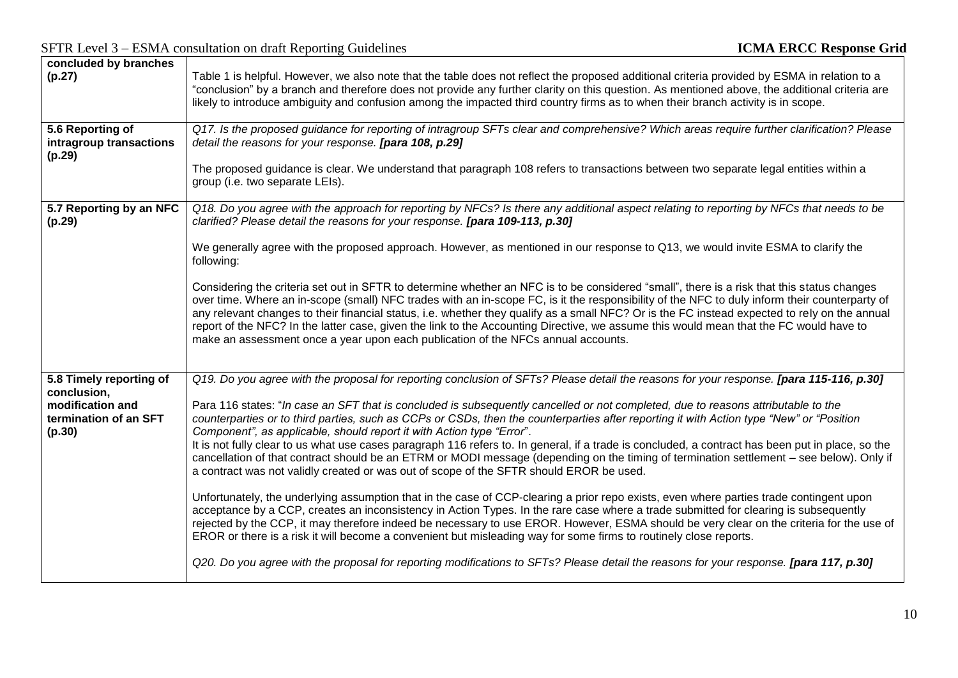| concluded by branches<br>(p.27)                       | Table 1 is helpful. However, we also note that the table does not reflect the proposed additional criteria provided by ESMA in relation to a<br>"conclusion" by a branch and therefore does not provide any further clarity on this question. As mentioned above, the additional criteria are<br>likely to introduce ambiguity and confusion among the impacted third country firms as to when their branch activity is in scope.                                                                                                                                                                                                                                           |
|-------------------------------------------------------|-----------------------------------------------------------------------------------------------------------------------------------------------------------------------------------------------------------------------------------------------------------------------------------------------------------------------------------------------------------------------------------------------------------------------------------------------------------------------------------------------------------------------------------------------------------------------------------------------------------------------------------------------------------------------------|
| 5.6 Reporting of<br>intragroup transactions<br>(p.29) | Q17. Is the proposed guidance for reporting of intragroup SFTs clear and comprehensive? Which areas require further clarification? Please<br>detail the reasons for your response. [para 108, p.29]                                                                                                                                                                                                                                                                                                                                                                                                                                                                         |
|                                                       | The proposed guidance is clear. We understand that paragraph 108 refers to transactions between two separate legal entities within a<br>group (i.e. two separate LEIs).                                                                                                                                                                                                                                                                                                                                                                                                                                                                                                     |
| 5.7 Reporting by an NFC<br>(p.29)                     | Q18. Do you agree with the approach for reporting by NFCs? Is there any additional aspect relating to reporting by NFCs that needs to be<br>clarified? Please detail the reasons for your response. [para 109-113, p.30]                                                                                                                                                                                                                                                                                                                                                                                                                                                    |
|                                                       | We generally agree with the proposed approach. However, as mentioned in our response to Q13, we would invite ESMA to clarify the<br>following:                                                                                                                                                                                                                                                                                                                                                                                                                                                                                                                              |
|                                                       | Considering the criteria set out in SFTR to determine whether an NFC is to be considered "small", there is a risk that this status changes<br>over time. Where an in-scope (small) NFC trades with an in-scope FC, is it the responsibility of the NFC to duly inform their counterparty of<br>any relevant changes to their financial status, i.e. whether they qualify as a small NFC? Or is the FC instead expected to rely on the annual<br>report of the NFC? In the latter case, given the link to the Accounting Directive, we assume this would mean that the FC would have to<br>make an assessment once a year upon each publication of the NFCs annual accounts. |
| 5.8 Timely reporting of<br>conclusion,                | Q19. Do you agree with the proposal for reporting conclusion of SFTs? Please detail the reasons for your response. [para 115-116, p.30]                                                                                                                                                                                                                                                                                                                                                                                                                                                                                                                                     |
| modification and<br>termination of an SFT<br>(p.30)   | Para 116 states: "In case an SFT that is concluded is subsequently cancelled or not completed, due to reasons attributable to the<br>counterparties or to third parties, such as CCPs or CSDs, then the counterparties after reporting it with Action type "New" or "Position<br>Component", as applicable, should report it with Action type "Error".                                                                                                                                                                                                                                                                                                                      |
|                                                       | It is not fully clear to us what use cases paragraph 116 refers to. In general, if a trade is concluded, a contract has been put in place, so the<br>cancellation of that contract should be an ETRM or MODI message (depending on the timing of termination settlement – see below). Only if<br>a contract was not validly created or was out of scope of the SFTR should EROR be used.                                                                                                                                                                                                                                                                                    |
|                                                       | Unfortunately, the underlying assumption that in the case of CCP-clearing a prior repo exists, even where parties trade contingent upon<br>acceptance by a CCP, creates an inconsistency in Action Types. In the rare case where a trade submitted for clearing is subsequently<br>rejected by the CCP, it may therefore indeed be necessary to use EROR. However, ESMA should be very clear on the criteria for the use of<br>EROR or there is a risk it will become a convenient but misleading way for some firms to routinely close reports.                                                                                                                            |
|                                                       | Q20. Do you agree with the proposal for reporting modifications to SFTs? Please detail the reasons for your response. [para 117, p.30]                                                                                                                                                                                                                                                                                                                                                                                                                                                                                                                                      |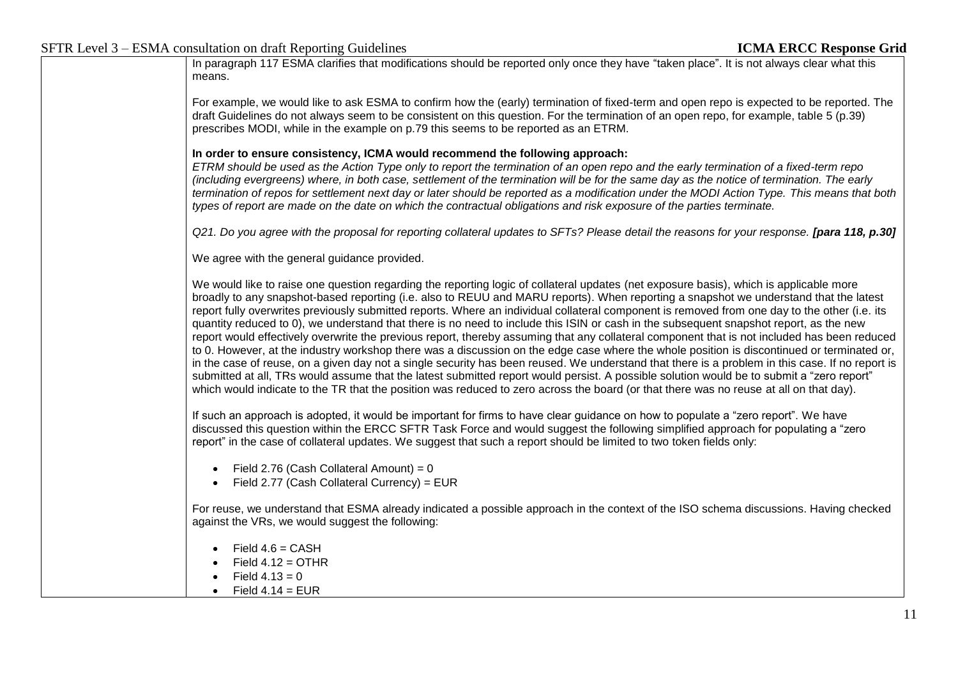In paragraph 117 ESMA clarifies that modifications should be reported only once they have "taken place". It is not always clear what this means.

For example, we would like to ask ESMA to confirm how the (early) termination of fixed-term and open repo is expected to be reported. The draft Guidelines do not always seem to be consistent on this question. For the termination of an open repo, for example, table 5 (p.39) prescribes MODI, while in the example on p.79 this seems to be reported as an ETRM.

### **In order to ensure consistency, ICMA would recommend the following approach:**

*ETRM should be used as the Action Type only to report the termination of an open repo and the early termination of a fixed-term repo (including evergreens) where, in both case, settlement of the termination will be for the same day as the notice of termination. The early termination of repos for settlement next day or later should be reported as a modification under the MODI Action Type. This means that both types of report are made on the date on which the contractual obligations and risk exposure of the parties terminate.*

*Q21. Do you agree with the proposal for reporting collateral updates to SFTs? Please detail the reasons for your response. [para 118, p.30]*

We agree with the general guidance provided.

We would like to raise one question regarding the reporting logic of collateral updates (net exposure basis), which is applicable more broadly to any snapshot-based reporting (i.e. also to REUU and MARU reports). When reporting a snapshot we understand that the latest report fully overwrites previously submitted reports. Where an individual collateral component is removed from one day to the other (i.e. its quantity reduced to 0), we understand that there is no need to include this ISIN or cash in the subsequent snapshot report, as the new report would effectively overwrite the previous report, thereby assuming that any collateral component that is not included has been reduced to 0. However, at the industry workshop there was a discussion on the edge case where the whole position is discontinued or terminated or, in the case of reuse, on a given day not a single security has been reused. We understand that there is a problem in this case. If no report is submitted at all, TRs would assume that the latest submitted report would persist. A possible solution would be to submit a "zero report" which would indicate to the TR that the position was reduced to zero across the board (or that there was no reuse at all on that day).

If such an approach is adopted, it would be important for firms to have clear guidance on how to populate a "zero report". We have discussed this question within the ERCC SFTR Task Force and would suggest the following simplified approach for populating a "zero report" in the case of collateral updates. We suggest that such a report should be limited to two token fields only:

- Field 2.76 (Cash Collateral Amount) =  $0$
- Field 2.77 (Cash Collateral Currency) =  $EUR$

For reuse, we understand that ESMA already indicated a possible approach in the context of the ISO schema discussions. Having checked against the VRs, we would suggest the following:

- Field  $4.6 = CASH$
- Field  $4.12 =$  OTHR
- Field  $4.13 = 0$
- Field  $4.14$  = EUR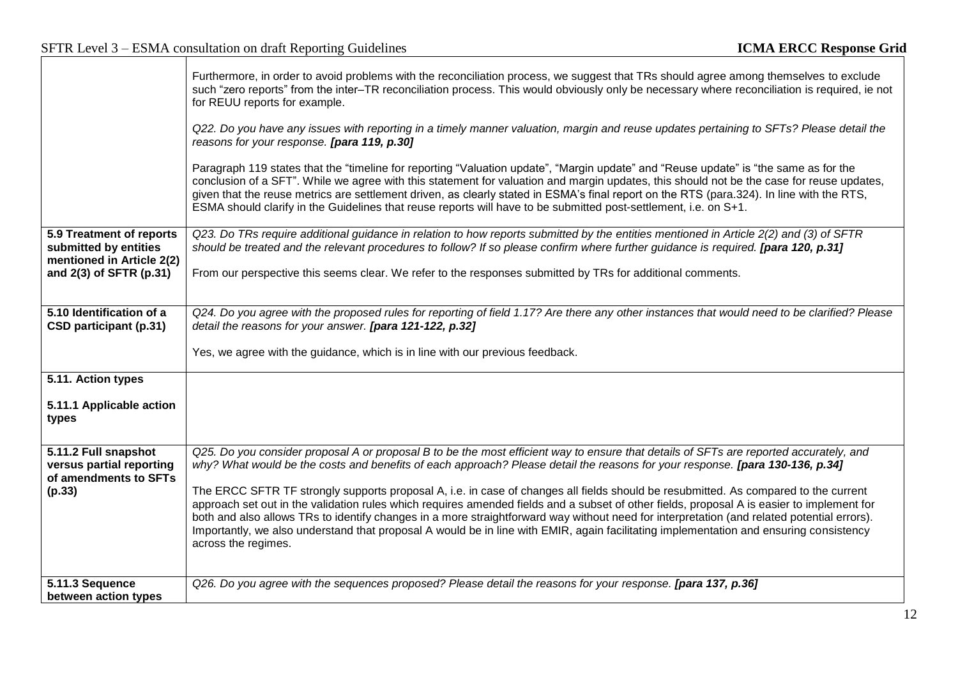|                                                                           | Furthermore, in order to avoid problems with the reconciliation process, we suggest that TRs should agree among themselves to exclude<br>such "zero reports" from the inter-TR reconciliation process. This would obviously only be necessary where reconciliation is required, ie not<br>for REUU reports for example.<br>Q22. Do you have any issues with reporting in a timely manner valuation, margin and reuse updates pertaining to SFTs? Please detail the<br>reasons for your response. [para 119, p.30]                                                                                |
|---------------------------------------------------------------------------|--------------------------------------------------------------------------------------------------------------------------------------------------------------------------------------------------------------------------------------------------------------------------------------------------------------------------------------------------------------------------------------------------------------------------------------------------------------------------------------------------------------------------------------------------------------------------------------------------|
|                                                                           | Paragraph 119 states that the "timeline for reporting "Valuation update", "Margin update" and "Reuse update" is "the same as for the<br>conclusion of a SFT". While we agree with this statement for valuation and margin updates, this should not be the case for reuse updates,<br>given that the reuse metrics are settlement driven, as clearly stated in ESMA's final report on the RTS (para.324). In line with the RTS,<br>ESMA should clarify in the Guidelines that reuse reports will have to be submitted post-settlement, i.e. on S+1.                                               |
| 5.9 Treatment of reports<br>submitted by entities                         | Q23. Do TRs require additional guidance in relation to how reports submitted by the entities mentioned in Article 2(2) and (3) of SFTR<br>should be treated and the relevant procedures to follow? If so please confirm where further guidance is required. [para 120, p.31]                                                                                                                                                                                                                                                                                                                     |
| mentioned in Article 2(2)<br>and 2(3) of SFTR (p.31)                      | From our perspective this seems clear. We refer to the responses submitted by TRs for additional comments.                                                                                                                                                                                                                                                                                                                                                                                                                                                                                       |
| 5.10 Identification of a<br>CSD participant (p.31)                        | Q24. Do you agree with the proposed rules for reporting of field 1.17? Are there any other instances that would need to be clarified? Please<br>detail the reasons for your answer. [para 121-122, p.32]                                                                                                                                                                                                                                                                                                                                                                                         |
|                                                                           | Yes, we agree with the guidance, which is in line with our previous feedback.                                                                                                                                                                                                                                                                                                                                                                                                                                                                                                                    |
| 5.11. Action types                                                        |                                                                                                                                                                                                                                                                                                                                                                                                                                                                                                                                                                                                  |
| 5.11.1 Applicable action<br>types                                         |                                                                                                                                                                                                                                                                                                                                                                                                                                                                                                                                                                                                  |
| 5.11.2 Full snapshot<br>versus partial reporting<br>of amendments to SFTs | Q25. Do you consider proposal A or proposal B to be the most efficient way to ensure that details of SFTs are reported accurately, and<br>why? What would be the costs and benefits of each approach? Please detail the reasons for your response. [para 130-136, p.34]                                                                                                                                                                                                                                                                                                                          |
| (p.33)                                                                    | The ERCC SFTR TF strongly supports proposal A, i.e. in case of changes all fields should be resubmitted. As compared to the current<br>approach set out in the validation rules which requires amended fields and a subset of other fields, proposal A is easier to implement for<br>both and also allows TRs to identify changes in a more straightforward way without need for interpretation (and related potential errors).<br>Importantly, we also understand that proposal A would be in line with EMIR, again facilitating implementation and ensuring consistency<br>across the regimes. |
| 5.11.3 Sequence<br>between action types                                   | Q26. Do you agree with the sequences proposed? Please detail the reasons for your response. [para 137, p.36]                                                                                                                                                                                                                                                                                                                                                                                                                                                                                     |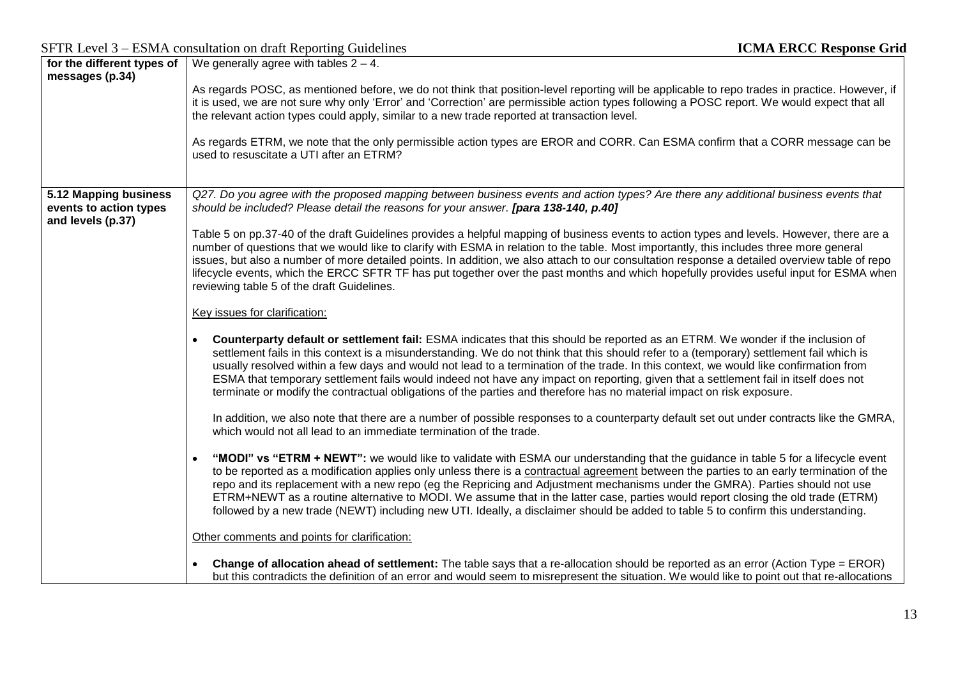| for the different types of                                           | We generally agree with tables $2 - 4$ .                                                                                                                                                                                                                                                                                                                                                                                                                                                                                                                                                                                                                                               |
|----------------------------------------------------------------------|----------------------------------------------------------------------------------------------------------------------------------------------------------------------------------------------------------------------------------------------------------------------------------------------------------------------------------------------------------------------------------------------------------------------------------------------------------------------------------------------------------------------------------------------------------------------------------------------------------------------------------------------------------------------------------------|
| messages (p.34)                                                      | As regards POSC, as mentioned before, we do not think that position-level reporting will be applicable to repo trades in practice. However, if<br>it is used, we are not sure why only 'Error' and 'Correction' are permissible action types following a POSC report. We would expect that all<br>the relevant action types could apply, similar to a new trade reported at transaction level.                                                                                                                                                                                                                                                                                         |
|                                                                      | As regards ETRM, we note that the only permissible action types are EROR and CORR. Can ESMA confirm that a CORR message can be<br>used to resuscitate a UTI after an ETRM?                                                                                                                                                                                                                                                                                                                                                                                                                                                                                                             |
| 5.12 Mapping business<br>events to action types<br>and levels (p.37) | Q27. Do you agree with the proposed mapping between business events and action types? Are there any additional business events that<br>should be included? Please detail the reasons for your answer. [para 138-140, p.40]                                                                                                                                                                                                                                                                                                                                                                                                                                                             |
|                                                                      | Table 5 on pp.37-40 of the draft Guidelines provides a helpful mapping of business events to action types and levels. However, there are a<br>number of questions that we would like to clarify with ESMA in relation to the table. Most importantly, this includes three more general<br>issues, but also a number of more detailed points. In addition, we also attach to our consultation response a detailed overview table of repo<br>lifecycle events, which the ERCC SFTR TF has put together over the past months and which hopefully provides useful input for ESMA when<br>reviewing table 5 of the draft Guidelines.                                                        |
|                                                                      | Key issues for clarification:                                                                                                                                                                                                                                                                                                                                                                                                                                                                                                                                                                                                                                                          |
|                                                                      | Counterparty default or settlement fail: ESMA indicates that this should be reported as an ETRM. We wonder if the inclusion of<br>settlement fails in this context is a misunderstanding. We do not think that this should refer to a (temporary) settlement fail which is<br>usually resolved within a few days and would not lead to a termination of the trade. In this context, we would like confirmation from<br>ESMA that temporary settlement fails would indeed not have any impact on reporting, given that a settlement fail in itself does not<br>terminate or modify the contractual obligations of the parties and therefore has no material impact on risk exposure.    |
|                                                                      | In addition, we also note that there are a number of possible responses to a counterparty default set out under contracts like the GMRA,<br>which would not all lead to an immediate termination of the trade.                                                                                                                                                                                                                                                                                                                                                                                                                                                                         |
|                                                                      | "MODI" vs "ETRM + NEWT": we would like to validate with ESMA our understanding that the guidance in table 5 for a lifecycle event<br>to be reported as a modification applies only unless there is a contractual agreement between the parties to an early termination of the<br>repo and its replacement with a new repo (eg the Repricing and Adjustment mechanisms under the GMRA). Parties should not use<br>ETRM+NEWT as a routine alternative to MODI. We assume that in the latter case, parties would report closing the old trade (ETRM)<br>followed by a new trade (NEWT) including new UTI. Ideally, a disclaimer should be added to table 5 to confirm this understanding. |
|                                                                      | Other comments and points for clarification:                                                                                                                                                                                                                                                                                                                                                                                                                                                                                                                                                                                                                                           |
|                                                                      | Change of allocation ahead of settlement: The table says that a re-allocation should be reported as an error (Action Type = EROR)<br>but this contradicts the definition of an error and would seem to misrepresent the situation. We would like to point out that re-allocations                                                                                                                                                                                                                                                                                                                                                                                                      |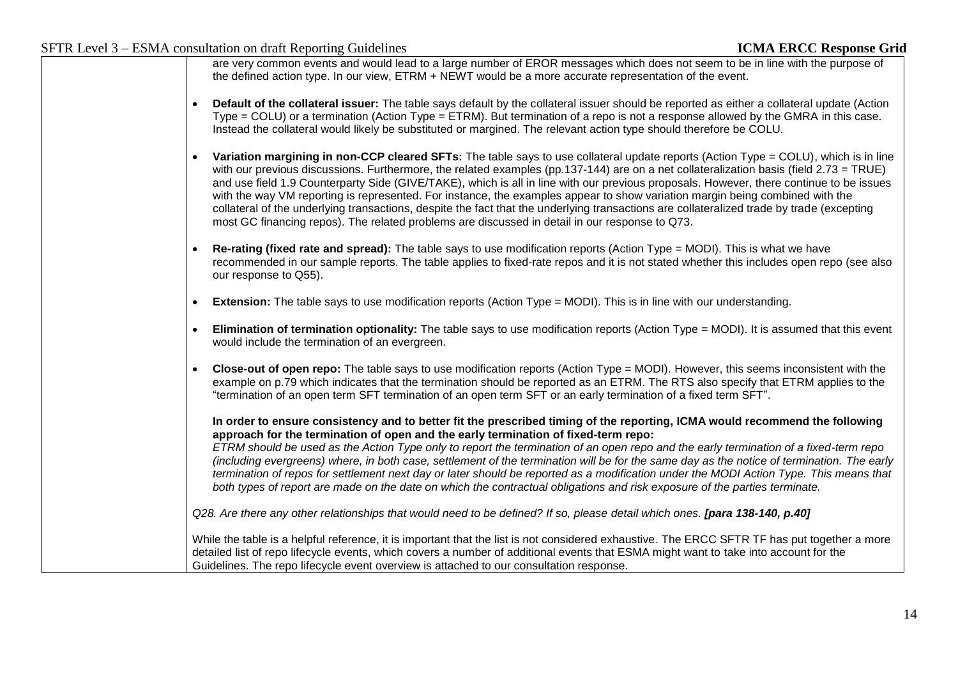are very common events and would lead to a large number of EROR messages which does not seem to be in line with the purpose of the defined action type. In our view, ETRM + NEWT would be a more accurate representation of the event.

- **Default of the collateral issuer:** The table says default by the collateral issuer should be reported as either a collateral update (Action Type = COLU) or a termination (Action Type = ETRM). But termination of a repo is not a response allowed by the GMRA in this case. Instead the collateral would likely be substituted or margined. The relevant action type should therefore be COLU*.*
- **Variation margining in non-CCP cleared SFTs:** The table says to use collateral update reports (Action Type = COLU), which is in line with our previous discussions. Furthermore, the related examples (pp.137-144) are on a net collateralization basis (field 2.73 = TRUE) and use field 1.9 Counterparty Side (GIVE/TAKE), which is all in line with our previous proposals. However, there continue to be issues with the way VM reporting is represented. For instance, the examples appear to show variation margin being combined with the collateral of the underlying transactions, despite the fact that the underlying transactions are collateralized trade by trade (excepting most GC financing repos). The related problems are discussed in detail in our response to Q73.
- **Re-rating (fixed rate and spread):** The table says to use modification reports (Action Type = MODI). This is what we have recommended in our sample reports. The table applies to fixed-rate repos and it is not stated whether this includes open repo (see also our response to Q55).
- **Extension:** The table says to use modification reports (Action Type = MODI). This is in line with our understanding.
- **Elimination of termination optionality:** The table says to use modification reports (Action Type = MODI). It is assumed that this event would include the termination of an evergreen.
- **Close-out of open repo:** The table says to use modification reports (Action Type = MODI). However, this seems inconsistent with the example on p.79 which indicates that the termination should be reported as an ETRM. The RTS also specify that ETRM applies to the "termination of an open term SFT termination of an open term SFT or an early termination of a fixed term SFT".

### **In order to ensure consistency and to better fit the prescribed timing of the reporting, ICMA would recommend the following approach for the termination of open and the early termination of fixed-term repo:**

*ETRM should be used as the Action Type only to report the termination of an open repo and the early termination of a fixed-term repo (including evergreens) where, in both case, settlement of the termination will be for the same day as the notice of termination. The early termination of repos for settlement next day or later should be reported as a modification under the MODI Action Type. This means that both types of report are made on the date on which the contractual obligations and risk exposure of the parties terminate.*

*Q28. Are there any other relationships that would need to be defined? If so, please detail which ones. [para 138-140, p.40]*

While the table is a helpful reference, it is important that the list is not considered exhaustive. The ERCC SFTR TF has put together a more detailed list of repo lifecycle events, which covers a number of additional events that ESMA might want to take into account for the Guidelines. The repo lifecycle event overview is attached to our consultation response.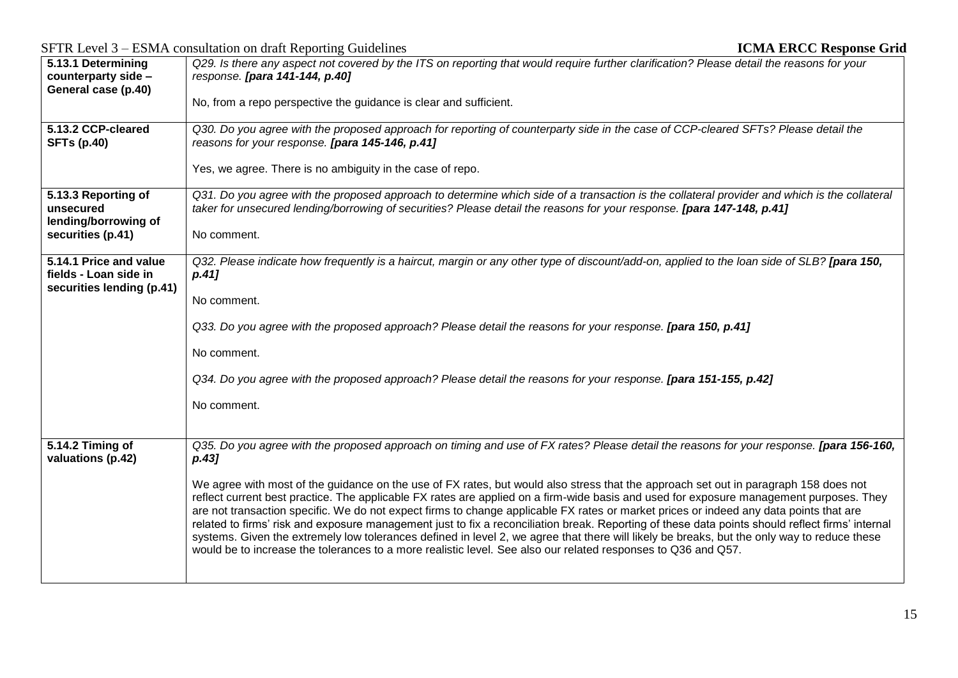|                           | SFTR Level 3 – ESMA consultation on draft Reporting Guidelines<br><b>ICMA ERCC Response Grid</b>                                                 |
|---------------------------|--------------------------------------------------------------------------------------------------------------------------------------------------|
| 5.13.1 Determining        | Q29. Is there any aspect not covered by the ITS on reporting that would require further clarification? Please detail the reasons for your        |
| counterparty side -       | response. [para 141-144, p.40]                                                                                                                   |
| General case (p.40)       |                                                                                                                                                  |
|                           | No, from a repo perspective the guidance is clear and sufficient.                                                                                |
|                           |                                                                                                                                                  |
| 5.13.2 CCP-cleared        | Q30. Do you agree with the proposed approach for reporting of counterparty side in the case of CCP-cleared SFTs? Please detail the               |
| <b>SFTs (p.40)</b>        | reasons for your response. [para 145-146, p.41]                                                                                                  |
|                           |                                                                                                                                                  |
|                           | Yes, we agree. There is no ambiguity in the case of repo.                                                                                        |
| 5.13.3 Reporting of       | Q31. Do you agree with the proposed approach to determine which side of a transaction is the collateral provider and which is the collateral     |
| unsecured                 | taker for unsecured lending/borrowing of securities? Please detail the reasons for your response. [para 147-148, p.41]                           |
| lending/borrowing of      |                                                                                                                                                  |
| securities (p.41)         | No comment.                                                                                                                                      |
|                           |                                                                                                                                                  |
| 5.14.1 Price and value    | Q32. Please indicate how frequently is a haircut, margin or any other type of discount/add-on, applied to the loan side of SLB? [para 150,       |
| fields - Loan side in     | p.41]                                                                                                                                            |
| securities lending (p.41) |                                                                                                                                                  |
|                           | No comment.                                                                                                                                      |
|                           |                                                                                                                                                  |
|                           | Q33. Do you agree with the proposed approach? Please detail the reasons for your response. [para 150, p.41]                                      |
|                           | No comment.                                                                                                                                      |
|                           |                                                                                                                                                  |
|                           | Q34. Do you agree with the proposed approach? Please detail the reasons for your response. [para 151-155, p.42]                                  |
|                           |                                                                                                                                                  |
|                           | No comment.                                                                                                                                      |
|                           |                                                                                                                                                  |
|                           |                                                                                                                                                  |
| 5.14.2 Timing of          | Q35. Do you agree with the proposed approach on timing and use of FX rates? Please detail the reasons for your response. [para 156-160,          |
| valuations (p.42)         | p.43]                                                                                                                                            |
|                           | We agree with most of the guidance on the use of FX rates, but would also stress that the approach set out in paragraph 158 does not             |
|                           | reflect current best practice. The applicable FX rates are applied on a firm-wide basis and used for exposure management purposes. They          |
|                           | are not transaction specific. We do not expect firms to change applicable FX rates or market prices or indeed any data points that are           |
|                           | related to firms' risk and exposure management just to fix a reconciliation break. Reporting of these data points should reflect firms' internal |
|                           | systems. Given the extremely low tolerances defined in level 2, we agree that there will likely be breaks, but the only way to reduce these      |
|                           | would be to increase the tolerances to a more realistic level. See also our related responses to Q36 and Q57.                                    |
|                           |                                                                                                                                                  |
|                           |                                                                                                                                                  |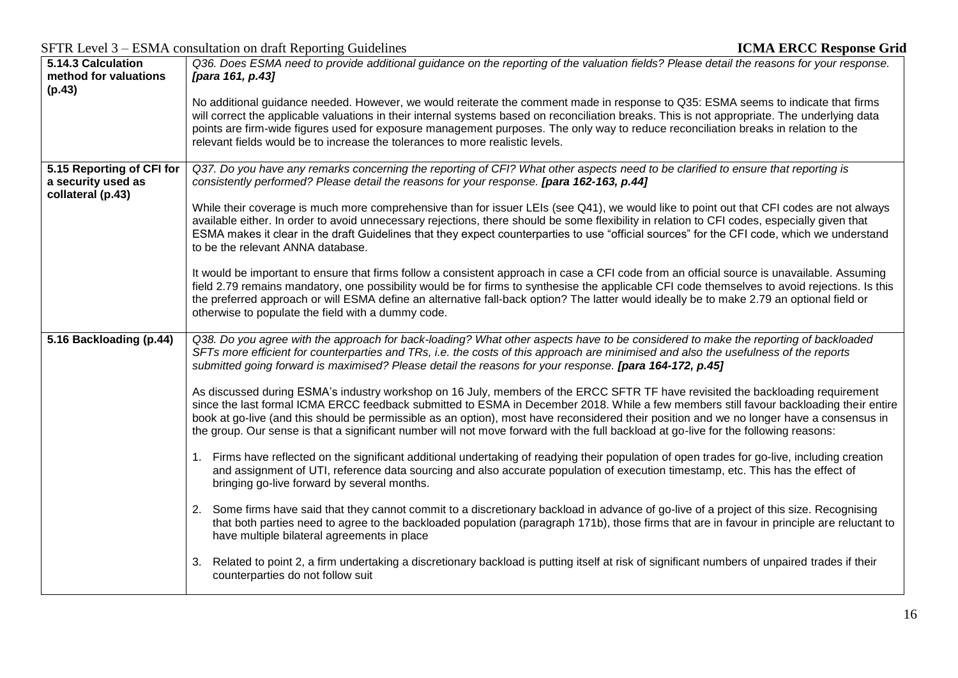| SFTR Level 3 – ESMA consultation on draft Reporting Guidelines |  |  |  |
|----------------------------------------------------------------|--|--|--|
|                                                                |  |  |  |

| 5.14.3 Calculation<br>method for valuations<br>(p.43)                | Q36. Does ESMA need to provide additional guidance on the reporting of the valuation fields? Please detail the reasons for your response.<br>[para 161, p.43]                                                                                                                                                                                                                                                                                                                                                                                                  |
|----------------------------------------------------------------------|----------------------------------------------------------------------------------------------------------------------------------------------------------------------------------------------------------------------------------------------------------------------------------------------------------------------------------------------------------------------------------------------------------------------------------------------------------------------------------------------------------------------------------------------------------------|
|                                                                      | No additional guidance needed. However, we would reiterate the comment made in response to Q35: ESMA seems to indicate that firms<br>will correct the applicable valuations in their internal systems based on reconciliation breaks. This is not appropriate. The underlying data<br>points are firm-wide figures used for exposure management purposes. The only way to reduce reconciliation breaks in relation to the<br>relevant fields would be to increase the tolerances to more realistic levels.                                                     |
| 5.15 Reporting of CFI for<br>a security used as<br>collateral (p.43) | Q37. Do you have any remarks concerning the reporting of CFI? What other aspects need to be clarified to ensure that reporting is<br>consistently performed? Please detail the reasons for your response. [para 162-163, p.44]                                                                                                                                                                                                                                                                                                                                 |
|                                                                      | While their coverage is much more comprehensive than for issuer LEIs (see Q41), we would like to point out that CFI codes are not always<br>available either. In order to avoid unnecessary rejections, there should be some flexibility in relation to CFI codes, especially given that<br>ESMA makes it clear in the draft Guidelines that they expect counterparties to use "official sources" for the CFI code, which we understand<br>to be the relevant ANNA database.                                                                                   |
|                                                                      | It would be important to ensure that firms follow a consistent approach in case a CFI code from an official source is unavailable. Assuming<br>field 2.79 remains mandatory, one possibility would be for firms to synthesise the applicable CFI code themselves to avoid rejections. Is this<br>the preferred approach or will ESMA define an alternative fall-back option? The latter would ideally be to make 2.79 an optional field or<br>otherwise to populate the field with a dummy code.                                                               |
| 5.16 Backloading (p.44)                                              | Q38. Do you agree with the approach for back-loading? What other aspects have to be considered to make the reporting of backloaded<br>SFTs more efficient for counterparties and TRs, i.e. the costs of this approach are minimised and also the usefulness of the reports<br>submitted going forward is maximised? Please detail the reasons for your response. [para 164-172, p.45]                                                                                                                                                                          |
|                                                                      | As discussed during ESMA's industry workshop on 16 July, members of the ERCC SFTR TF have revisited the backloading requirement<br>since the last formal ICMA ERCC feedback submitted to ESMA in December 2018. While a few members still favour backloading their entire<br>book at go-live (and this should be permissible as an option), most have reconsidered their position and we no longer have a consensus in<br>the group. Our sense is that a significant number will not move forward with the full backload at go-live for the following reasons: |
|                                                                      | 1. Firms have reflected on the significant additional undertaking of readying their population of open trades for go-live, including creation<br>and assignment of UTI, reference data sourcing and also accurate population of execution timestamp, etc. This has the effect of<br>bringing go-live forward by several months.                                                                                                                                                                                                                                |
|                                                                      | Some firms have said that they cannot commit to a discretionary backload in advance of go-live of a project of this size. Recognising<br>2.<br>that both parties need to agree to the backloaded population (paragraph 171b), those firms that are in favour in principle are reluctant to<br>have multiple bilateral agreements in place                                                                                                                                                                                                                      |
|                                                                      | Related to point 2, a firm undertaking a discretionary backload is putting itself at risk of significant numbers of unpaired trades if their<br>3.<br>counterparties do not follow suit                                                                                                                                                                                                                                                                                                                                                                        |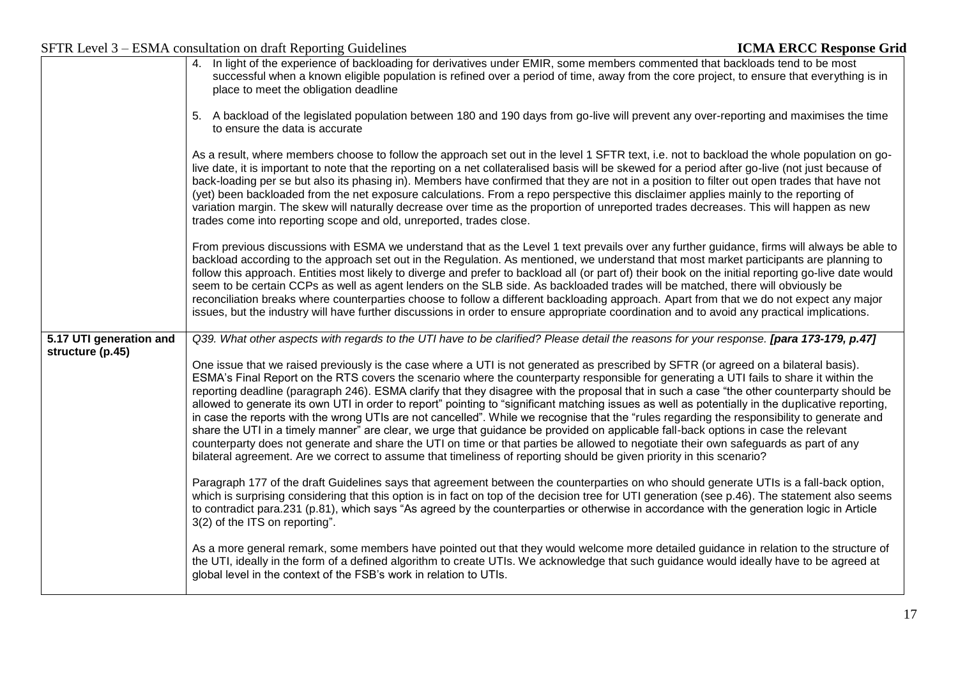|                                             | 4. In light of the experience of backloading for derivatives under EMIR, some members commented that backloads tend to be most<br>successful when a known eligible population is refined over a period of time, away from the core project, to ensure that everything is in<br>place to meet the obligation deadline                                                                                                                                                                                                                                                                                                                                                                                                                                                                                                                                                                                                                                                                                                                                                                                                                       |
|---------------------------------------------|--------------------------------------------------------------------------------------------------------------------------------------------------------------------------------------------------------------------------------------------------------------------------------------------------------------------------------------------------------------------------------------------------------------------------------------------------------------------------------------------------------------------------------------------------------------------------------------------------------------------------------------------------------------------------------------------------------------------------------------------------------------------------------------------------------------------------------------------------------------------------------------------------------------------------------------------------------------------------------------------------------------------------------------------------------------------------------------------------------------------------------------------|
|                                             | 5. A backload of the legislated population between 180 and 190 days from go-live will prevent any over-reporting and maximises the time<br>to ensure the data is accurate                                                                                                                                                                                                                                                                                                                                                                                                                                                                                                                                                                                                                                                                                                                                                                                                                                                                                                                                                                  |
|                                             | As a result, where members choose to follow the approach set out in the level 1 SFTR text, i.e. not to backload the whole population on go-<br>live date, it is important to note that the reporting on a net collateralised basis will be skewed for a period after go-live (not just because of<br>back-loading per se but also its phasing in). Members have confirmed that they are not in a position to filter out open trades that have not<br>(yet) been backloaded from the net exposure calculations. From a repo perspective this disclaimer applies mainly to the reporting of<br>variation margin. The skew will naturally decrease over time as the proportion of unreported trades decreases. This will happen as new<br>trades come into reporting scope and old, unreported, trades close.                                                                                                                                                                                                                                                                                                                                 |
|                                             | From previous discussions with ESMA we understand that as the Level 1 text prevails over any further guidance, firms will always be able to<br>backload according to the approach set out in the Regulation. As mentioned, we understand that most market participants are planning to<br>follow this approach. Entities most likely to diverge and prefer to backload all (or part of) their book on the initial reporting go-live date would<br>seem to be certain CCPs as well as agent lenders on the SLB side. As backloaded trades will be matched, there will obviously be<br>reconciliation breaks where counterparties choose to follow a different backloading approach. Apart from that we do not expect any major<br>issues, but the industry will have further discussions in order to ensure appropriate coordination and to avoid any practical implications.                                                                                                                                                                                                                                                               |
| 5.17 UTI generation and<br>structure (p.45) | Q39. What other aspects with regards to the UTI have to be clarified? Please detail the reasons for your response. [para 173-179, p.47]                                                                                                                                                                                                                                                                                                                                                                                                                                                                                                                                                                                                                                                                                                                                                                                                                                                                                                                                                                                                    |
|                                             | One issue that we raised previously is the case where a UTI is not generated as prescribed by SFTR (or agreed on a bilateral basis).<br>ESMA's Final Report on the RTS covers the scenario where the counterparty responsible for generating a UTI fails to share it within the<br>reporting deadline (paragraph 246). ESMA clarify that they disagree with the proposal that in such a case "the other counterparty should be<br>allowed to generate its own UTI in order to report" pointing to "significant matching issues as well as potentially in the duplicative reporting,<br>in case the reports with the wrong UTIs are not cancelled". While we recognise that the "rules regarding the responsibility to generate and<br>share the UTI in a timely manner" are clear, we urge that guidance be provided on applicable fall-back options in case the relevant<br>counterparty does not generate and share the UTI on time or that parties be allowed to negotiate their own safeguards as part of any<br>bilateral agreement. Are we correct to assume that timeliness of reporting should be given priority in this scenario? |
|                                             | Paragraph 177 of the draft Guidelines says that agreement between the counterparties on who should generate UTIs is a fall-back option,<br>which is surprising considering that this option is in fact on top of the decision tree for UTI generation (see p.46). The statement also seems<br>to contradict para.231 (p.81), which says "As agreed by the counterparties or otherwise in accordance with the generation logic in Article<br>3(2) of the ITS on reporting".                                                                                                                                                                                                                                                                                                                                                                                                                                                                                                                                                                                                                                                                 |
|                                             | As a more general remark, some members have pointed out that they would welcome more detailed guidance in relation to the structure of<br>the UTI, ideally in the form of a defined algorithm to create UTIs. We acknowledge that such guidance would ideally have to be agreed at<br>global level in the context of the FSB's work in relation to UTIs.                                                                                                                                                                                                                                                                                                                                                                                                                                                                                                                                                                                                                                                                                                                                                                                   |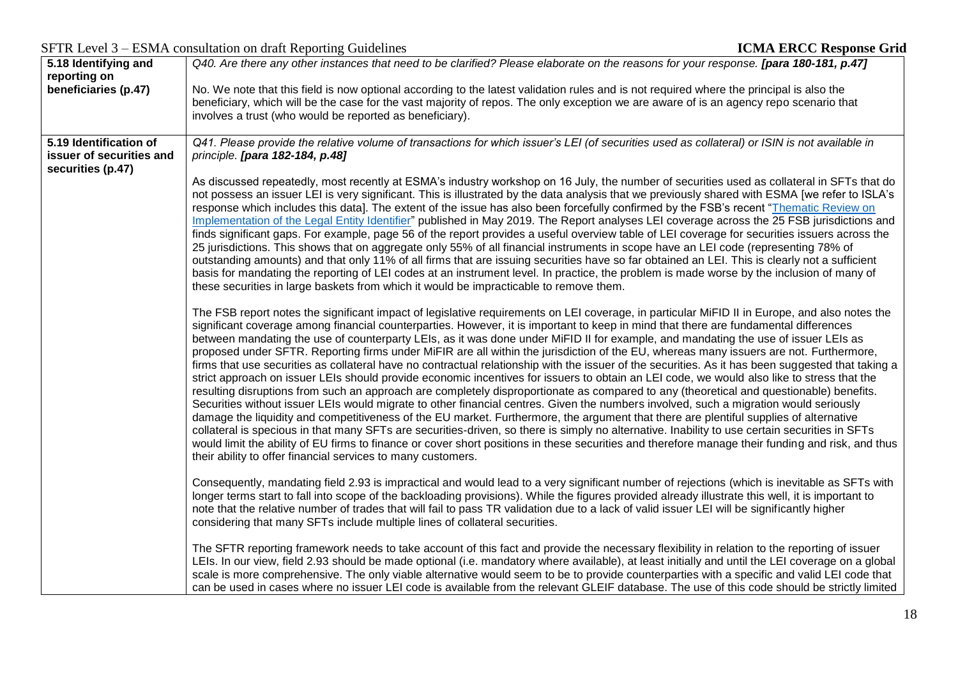|                                                    | SFTR Level 3 – ESMA consultation on draft Reporting Guidelines<br><b>ICMA ERCC Response Grid</b>                                                                                                                                                                                                                                                                                                                                                                                                                                                                                                                                                                                                                                                                                                                                                                                                                                                                                                                                                                                                                                                                                                                                                                                                                                                                                                                                                                                                                                                                                                                                                                              |  |
|----------------------------------------------------|-------------------------------------------------------------------------------------------------------------------------------------------------------------------------------------------------------------------------------------------------------------------------------------------------------------------------------------------------------------------------------------------------------------------------------------------------------------------------------------------------------------------------------------------------------------------------------------------------------------------------------------------------------------------------------------------------------------------------------------------------------------------------------------------------------------------------------------------------------------------------------------------------------------------------------------------------------------------------------------------------------------------------------------------------------------------------------------------------------------------------------------------------------------------------------------------------------------------------------------------------------------------------------------------------------------------------------------------------------------------------------------------------------------------------------------------------------------------------------------------------------------------------------------------------------------------------------------------------------------------------------------------------------------------------------|--|
| 5.18 Identifying and                               | Q40. Are there any other instances that need to be clarified? Please elaborate on the reasons for your response. [para 180-181, p.47]                                                                                                                                                                                                                                                                                                                                                                                                                                                                                                                                                                                                                                                                                                                                                                                                                                                                                                                                                                                                                                                                                                                                                                                                                                                                                                                                                                                                                                                                                                                                         |  |
| reporting on                                       |                                                                                                                                                                                                                                                                                                                                                                                                                                                                                                                                                                                                                                                                                                                                                                                                                                                                                                                                                                                                                                                                                                                                                                                                                                                                                                                                                                                                                                                                                                                                                                                                                                                                               |  |
| beneficiaries (p.47)                               | No. We note that this field is now optional according to the latest validation rules and is not required where the principal is also the<br>beneficiary, which will be the case for the vast majority of repos. The only exception we are aware of is an agency repo scenario that<br>involves a trust (who would be reported as beneficiary).                                                                                                                                                                                                                                                                                                                                                                                                                                                                                                                                                                                                                                                                                                                                                                                                                                                                                                                                                                                                                                                                                                                                                                                                                                                                                                                                |  |
|                                                    |                                                                                                                                                                                                                                                                                                                                                                                                                                                                                                                                                                                                                                                                                                                                                                                                                                                                                                                                                                                                                                                                                                                                                                                                                                                                                                                                                                                                                                                                                                                                                                                                                                                                               |  |
| 5.19 Identification of<br>issuer of securities and | Q41. Please provide the relative volume of transactions for which issuer's LEI (of securities used as collateral) or ISIN is not available in<br>principle. [para 182-184, p.48]                                                                                                                                                                                                                                                                                                                                                                                                                                                                                                                                                                                                                                                                                                                                                                                                                                                                                                                                                                                                                                                                                                                                                                                                                                                                                                                                                                                                                                                                                              |  |
| securities (p.47)                                  |                                                                                                                                                                                                                                                                                                                                                                                                                                                                                                                                                                                                                                                                                                                                                                                                                                                                                                                                                                                                                                                                                                                                                                                                                                                                                                                                                                                                                                                                                                                                                                                                                                                                               |  |
|                                                    | As discussed repeatedly, most recently at ESMA's industry workshop on 16 July, the number of securities used as collateral in SFTs that do<br>not possess an issuer LEI is very significant. This is illustrated by the data analysis that we previously shared with ESMA [we refer to ISLA's<br>response which includes this data]. The extent of the issue has also been forcefully confirmed by the FSB's recent "Thematic Review on<br>Implementation of the Legal Entity Identifier" published in May 2019. The Report analyses LEI coverage across the 25 FSB jurisdictions and<br>finds significant gaps. For example, page 56 of the report provides a useful overview table of LEI coverage for securities issuers across the<br>25 jurisdictions. This shows that on aggregate only 55% of all financial instruments in scope have an LEI code (representing 78% of<br>outstanding amounts) and that only 11% of all firms that are issuing securities have so far obtained an LEI. This is clearly not a sufficient<br>basis for mandating the reporting of LEI codes at an instrument level. In practice, the problem is made worse by the inclusion of many of<br>these securities in large baskets from which it would be impracticable to remove them.                                                                                                                                                                                                                                                                                                                                                                                                         |  |
|                                                    | The FSB report notes the significant impact of legislative requirements on LEI coverage, in particular MiFID II in Europe, and also notes the<br>significant coverage among financial counterparties. However, it is important to keep in mind that there are fundamental differences<br>between mandating the use of counterparty LEIs, as it was done under MiFID II for example, and mandating the use of issuer LEIs as<br>proposed under SFTR. Reporting firms under MiFIR are all within the jurisdiction of the EU, whereas many issuers are not. Furthermore,<br>firms that use securities as collateral have no contractual relationship with the issuer of the securities. As it has been suggested that taking a<br>strict approach on issuer LEIs should provide economic incentives for issuers to obtain an LEI code, we would also like to stress that the<br>resulting disruptions from such an approach are completely disproportionate as compared to any (theoretical and questionable) benefits.<br>Securities without issuer LEIs would migrate to other financial centres. Given the numbers involved, such a migration would seriously<br>damage the liquidity and competitiveness of the EU market. Furthermore, the argument that there are plentiful supplies of alternative<br>collateral is specious in that many SFTs are securities-driven, so there is simply no alternative. Inability to use certain securities in SFTs<br>would limit the ability of EU firms to finance or cover short positions in these securities and therefore manage their funding and risk, and thus<br>their ability to offer financial services to many customers. |  |
|                                                    | Consequently, mandating field 2.93 is impractical and would lead to a very significant number of rejections (which is inevitable as SFTs with<br>longer terms start to fall into scope of the backloading provisions). While the figures provided already illustrate this well, it is important to<br>note that the relative number of trades that will fail to pass TR validation due to a lack of valid issuer LEI will be significantly higher<br>considering that many SFTs include multiple lines of collateral securities.                                                                                                                                                                                                                                                                                                                                                                                                                                                                                                                                                                                                                                                                                                                                                                                                                                                                                                                                                                                                                                                                                                                                              |  |
|                                                    | The SFTR reporting framework needs to take account of this fact and provide the necessary flexibility in relation to the reporting of issuer<br>LEIs. In our view, field 2.93 should be made optional (i.e. mandatory where available), at least initially and until the LEI coverage on a global<br>scale is more comprehensive. The only viable alternative would seem to be to provide counterparties with a specific and valid LEI code that<br>can be used in cases where no issuer LEI code is available from the relevant GLEIF database. The use of this code should be strictly limited                                                                                                                                                                                                                                                                                                                                                                                                                                                                                                                                                                                                                                                                                                                                                                                                                                                                                                                                                                                                                                                                              |  |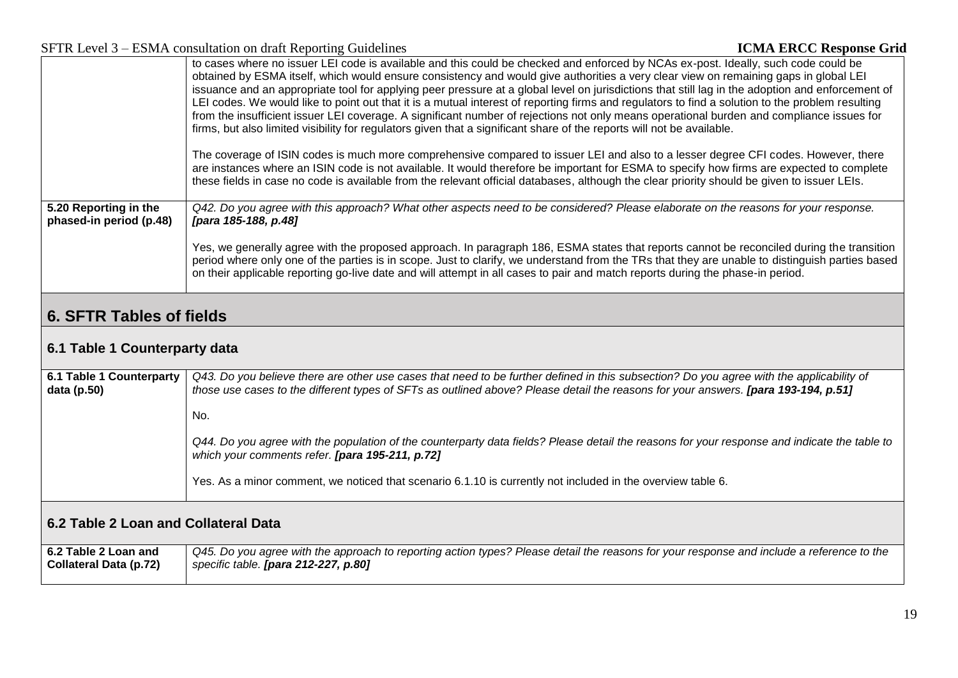|                                                  | to cases where no issuer LEI code is available and this could be checked and enforced by NCAs ex-post. Ideally, such code could be<br>obtained by ESMA itself, which would ensure consistency and would give authorities a very clear view on remaining gaps in global LEI<br>issuance and an appropriate tool for applying peer pressure at a global level on jurisdictions that still lag in the adoption and enforcement of<br>LEI codes. We would like to point out that it is a mutual interest of reporting firms and regulators to find a solution to the problem resulting<br>from the insufficient issuer LEI coverage. A significant number of rejections not only means operational burden and compliance issues for<br>firms, but also limited visibility for regulators given that a significant share of the reports will not be available.<br>The coverage of ISIN codes is much more comprehensive compared to issuer LEI and also to a lesser degree CFI codes. However, there<br>are instances where an ISIN code is not available. It would therefore be important for ESMA to specify how firms are expected to complete<br>these fields in case no code is available from the relevant official databases, although the clear priority should be given to issuer LEIs. |
|--------------------------------------------------|---------------------------------------------------------------------------------------------------------------------------------------------------------------------------------------------------------------------------------------------------------------------------------------------------------------------------------------------------------------------------------------------------------------------------------------------------------------------------------------------------------------------------------------------------------------------------------------------------------------------------------------------------------------------------------------------------------------------------------------------------------------------------------------------------------------------------------------------------------------------------------------------------------------------------------------------------------------------------------------------------------------------------------------------------------------------------------------------------------------------------------------------------------------------------------------------------------------------------------------------------------------------------------------------|
| 5.20 Reporting in the<br>phased-in period (p.48) | Q42. Do you agree with this approach? What other aspects need to be considered? Please elaborate on the reasons for your response.<br>[para 185-188, p.48]                                                                                                                                                                                                                                                                                                                                                                                                                                                                                                                                                                                                                                                                                                                                                                                                                                                                                                                                                                                                                                                                                                                                  |
|                                                  | Yes, we generally agree with the proposed approach. In paragraph 186, ESMA states that reports cannot be reconciled during the transition<br>period where only one of the parties is in scope. Just to clarify, we understand from the TRs that they are unable to distinguish parties based<br>on their applicable reporting go-live date and will attempt in all cases to pair and match reports during the phase-in period.                                                                                                                                                                                                                                                                                                                                                                                                                                                                                                                                                                                                                                                                                                                                                                                                                                                              |

# **6. SFTR Tables of fields**

## **6.1 Table 1 Counterparty data**

| 6.1 Table 1 Counterparty<br>data (p.50) | Q43. Do you believe there are other use cases that need to be further defined in this subsection? Do you agree with the applicability of<br>those use cases to the different types of SFTs as outlined above? Please detail the reasons for your answers. [para 193-194, p.51] |
|-----------------------------------------|--------------------------------------------------------------------------------------------------------------------------------------------------------------------------------------------------------------------------------------------------------------------------------|
|                                         | No.                                                                                                                                                                                                                                                                            |
|                                         | Q44. Do you agree with the population of the counterparty data fields? Please detail the reasons for your response and indicate the table to<br>which your comments refer. [para 195-211, p.72]                                                                                |
|                                         | Yes. As a minor comment, we noticed that scenario 6.1.10 is currently not included in the overview table 6.                                                                                                                                                                    |

## **6.2 Table 2 Loan and Collateral Data**

| 6.2 Table 2 Loan and          | Q45. Do you agree with the approach to reporting action types? Please detail the reasons for your response and include a reference to the |
|-------------------------------|-------------------------------------------------------------------------------------------------------------------------------------------|
| <b>Collateral Data (p.72)</b> | specific table. <b>[para 212-227, p.80]</b>                                                                                               |
|                               |                                                                                                                                           |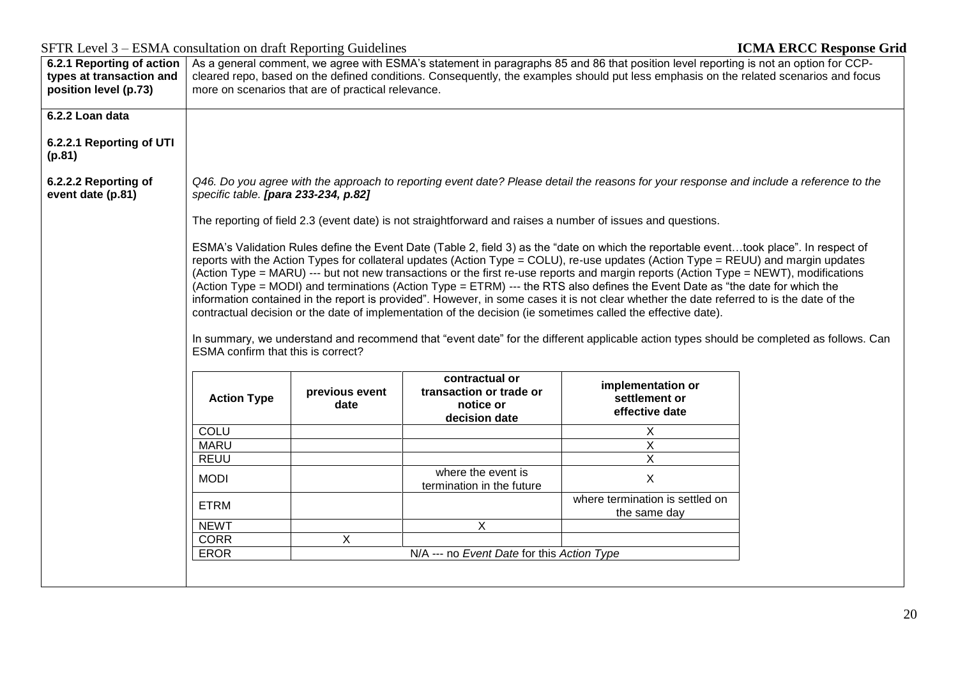| 6.2.1 Reporting of action                 |                                                                                                                                                                                 |                                                                                                                                                                                                                                                                                                                                                                                                                                                                                                                                                                                                                                                                                                                                                                                                                                                                                                                                                                                                                                                                                                                                              |                                            | As a general comment, we agree with ESMA's statement in paragraphs 85 and 86 that position level reporting is not an option for CCP- |  |  |  |  |  |  |  |
|-------------------------------------------|---------------------------------------------------------------------------------------------------------------------------------------------------------------------------------|----------------------------------------------------------------------------------------------------------------------------------------------------------------------------------------------------------------------------------------------------------------------------------------------------------------------------------------------------------------------------------------------------------------------------------------------------------------------------------------------------------------------------------------------------------------------------------------------------------------------------------------------------------------------------------------------------------------------------------------------------------------------------------------------------------------------------------------------------------------------------------------------------------------------------------------------------------------------------------------------------------------------------------------------------------------------------------------------------------------------------------------------|--------------------------------------------|--------------------------------------------------------------------------------------------------------------------------------------|--|--|--|--|--|--|--|
| types at transaction and                  | cleared repo, based on the defined conditions. Consequently, the examples should put less emphasis on the related scenarios and focus                                           |                                                                                                                                                                                                                                                                                                                                                                                                                                                                                                                                                                                                                                                                                                                                                                                                                                                                                                                                                                                                                                                                                                                                              |                                            |                                                                                                                                      |  |  |  |  |  |  |  |
| position level (p.73)                     |                                                                                                                                                                                 | more on scenarios that are of practical relevance.                                                                                                                                                                                                                                                                                                                                                                                                                                                                                                                                                                                                                                                                                                                                                                                                                                                                                                                                                                                                                                                                                           |                                            |                                                                                                                                      |  |  |  |  |  |  |  |
| 6.2.2 Loan data                           |                                                                                                                                                                                 |                                                                                                                                                                                                                                                                                                                                                                                                                                                                                                                                                                                                                                                                                                                                                                                                                                                                                                                                                                                                                                                                                                                                              |                                            |                                                                                                                                      |  |  |  |  |  |  |  |
|                                           |                                                                                                                                                                                 |                                                                                                                                                                                                                                                                                                                                                                                                                                                                                                                                                                                                                                                                                                                                                                                                                                                                                                                                                                                                                                                                                                                                              |                                            |                                                                                                                                      |  |  |  |  |  |  |  |
| 6.2.2.1 Reporting of UTI<br>(p.81)        |                                                                                                                                                                                 |                                                                                                                                                                                                                                                                                                                                                                                                                                                                                                                                                                                                                                                                                                                                                                                                                                                                                                                                                                                                                                                                                                                                              |                                            |                                                                                                                                      |  |  |  |  |  |  |  |
| 6.2.2.2 Reporting of<br>event date (p.81) | Q46. Do you agree with the approach to reporting event date? Please detail the reasons for your response and include a reference to the<br>specific table. [para 233-234, p.82] |                                                                                                                                                                                                                                                                                                                                                                                                                                                                                                                                                                                                                                                                                                                                                                                                                                                                                                                                                                                                                                                                                                                                              |                                            |                                                                                                                                      |  |  |  |  |  |  |  |
|                                           |                                                                                                                                                                                 |                                                                                                                                                                                                                                                                                                                                                                                                                                                                                                                                                                                                                                                                                                                                                                                                                                                                                                                                                                                                                                                                                                                                              |                                            | The reporting of field 2.3 (event date) is not straightforward and raises a number of issues and questions.                          |  |  |  |  |  |  |  |
|                                           | <b>Action Type</b>                                                                                                                                                              | ESMA's Validation Rules define the Event Date (Table 2, field 3) as the "date on which the reportable eventtook place". In respect of<br>reports with the Action Types for collateral updates (Action Type = COLU), re-use updates (Action Type = REUU) and margin updates<br>(Action Type = MARU) --- but not new transactions or the first re-use reports and margin reports (Action Type = NEWT), modifications<br>(Action Type = MODI) and terminations (Action Type = ETRM) --- the RTS also defines the Event Date as "the date for which the<br>information contained in the report is provided". However, in some cases it is not clear whether the date referred to is the date of the<br>contractual decision or the date of implementation of the decision (ie sometimes called the effective date).<br>In summary, we understand and recommend that "event date" for the different applicable action types should be completed as follows. Can<br>ESMA confirm that this is correct?<br>contractual or<br>implementation or<br>transaction or trade or<br>previous event<br>settlement or<br>notice or<br>date<br>effective date |                                            |                                                                                                                                      |  |  |  |  |  |  |  |
|                                           | COLU                                                                                                                                                                            |                                                                                                                                                                                                                                                                                                                                                                                                                                                                                                                                                                                                                                                                                                                                                                                                                                                                                                                                                                                                                                                                                                                                              | decision date                              | X                                                                                                                                    |  |  |  |  |  |  |  |
|                                           | <b>MARU</b>                                                                                                                                                                     |                                                                                                                                                                                                                                                                                                                                                                                                                                                                                                                                                                                                                                                                                                                                                                                                                                                                                                                                                                                                                                                                                                                                              |                                            | $\overline{\mathsf{X}}$                                                                                                              |  |  |  |  |  |  |  |
|                                           | <b>REUU</b>                                                                                                                                                                     |                                                                                                                                                                                                                                                                                                                                                                                                                                                                                                                                                                                                                                                                                                                                                                                                                                                                                                                                                                                                                                                                                                                                              |                                            | $\overline{X}$                                                                                                                       |  |  |  |  |  |  |  |
|                                           | where the event is<br><b>MODI</b><br>$\mathsf{X}$<br>termination in the future                                                                                                  |                                                                                                                                                                                                                                                                                                                                                                                                                                                                                                                                                                                                                                                                                                                                                                                                                                                                                                                                                                                                                                                                                                                                              |                                            |                                                                                                                                      |  |  |  |  |  |  |  |
|                                           | <b>ETRM</b>                                                                                                                                                                     | where termination is settled on<br>the same day                                                                                                                                                                                                                                                                                                                                                                                                                                                                                                                                                                                                                                                                                                                                                                                                                                                                                                                                                                                                                                                                                              |                                            |                                                                                                                                      |  |  |  |  |  |  |  |
|                                           | <b>NEWT</b>                                                                                                                                                                     |                                                                                                                                                                                                                                                                                                                                                                                                                                                                                                                                                                                                                                                                                                                                                                                                                                                                                                                                                                                                                                                                                                                                              | X                                          |                                                                                                                                      |  |  |  |  |  |  |  |
|                                           | <b>CORR</b>                                                                                                                                                                     | $\pmb{\times}$                                                                                                                                                                                                                                                                                                                                                                                                                                                                                                                                                                                                                                                                                                                                                                                                                                                                                                                                                                                                                                                                                                                               |                                            |                                                                                                                                      |  |  |  |  |  |  |  |
|                                           | <b>EROR</b>                                                                                                                                                                     |                                                                                                                                                                                                                                                                                                                                                                                                                                                                                                                                                                                                                                                                                                                                                                                                                                                                                                                                                                                                                                                                                                                                              | N/A --- no Event Date for this Action Type |                                                                                                                                      |  |  |  |  |  |  |  |
|                                           |                                                                                                                                                                                 |                                                                                                                                                                                                                                                                                                                                                                                                                                                                                                                                                                                                                                                                                                                                                                                                                                                                                                                                                                                                                                                                                                                                              |                                            |                                                                                                                                      |  |  |  |  |  |  |  |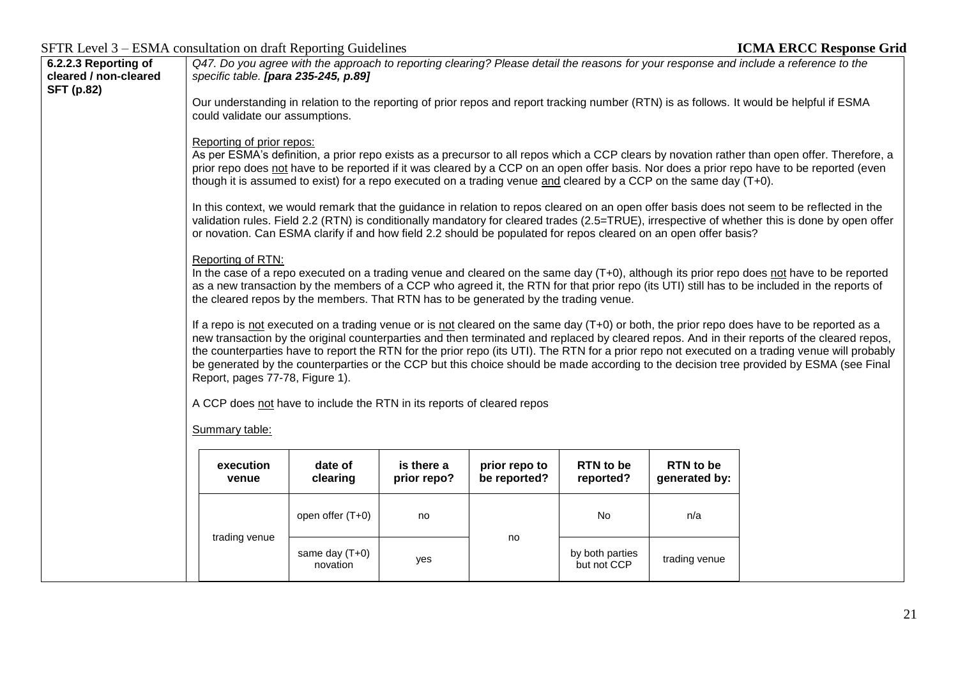| SFTR Level 3 – ESMA consultation on draft Reporting Guidelines |  |  |  |
|----------------------------------------------------------------|--|--|--|
|                                                                |  |  |  |

| 6.2.2.3 Reporting of<br>cleared / non-cleared                                                                                                                                                                                                                                                                                                                                                                                                                                                                                                                                                                              | Q47. Do you agree with the approach to reporting clearing? Please detail the reasons for your response and include a reference to the<br>specific table. [para 235-245, p.89]                                                                                                                                                                                                                                                                                                                                                                                                                                                    |                    |                                                                        |                           |                               |                                |                                   |  |
|----------------------------------------------------------------------------------------------------------------------------------------------------------------------------------------------------------------------------------------------------------------------------------------------------------------------------------------------------------------------------------------------------------------------------------------------------------------------------------------------------------------------------------------------------------------------------------------------------------------------------|----------------------------------------------------------------------------------------------------------------------------------------------------------------------------------------------------------------------------------------------------------------------------------------------------------------------------------------------------------------------------------------------------------------------------------------------------------------------------------------------------------------------------------------------------------------------------------------------------------------------------------|--------------------|------------------------------------------------------------------------|---------------------------|-------------------------------|--------------------------------|-----------------------------------|--|
| <b>SFT (p.82)</b>                                                                                                                                                                                                                                                                                                                                                                                                                                                                                                                                                                                                          | Our understanding in relation to the reporting of prior repos and report tracking number (RTN) is as follows. It would be helpful if ESMA<br>could validate our assumptions.<br>Reporting of prior repos:<br>As per ESMA's definition, a prior repo exists as a precursor to all repos which a CCP clears by novation rather than open offer. Therefore, a<br>prior repo does not have to be reported if it was cleared by a CCP on an open offer basis. Nor does a prior repo have to be reported (even<br>though it is assumed to exist) for a repo executed on a trading venue and cleared by a CCP on the same day $(T+0)$ . |                    |                                                                        |                           |                               |                                |                                   |  |
|                                                                                                                                                                                                                                                                                                                                                                                                                                                                                                                                                                                                                            |                                                                                                                                                                                                                                                                                                                                                                                                                                                                                                                                                                                                                                  |                    |                                                                        |                           |                               |                                |                                   |  |
|                                                                                                                                                                                                                                                                                                                                                                                                                                                                                                                                                                                                                            | In this context, we would remark that the guidance in relation to repos cleared on an open offer basis does not seem to be reflected in the<br>validation rules. Field 2.2 (RTN) is conditionally mandatory for cleared trades (2.5=TRUE), irrespective of whether this is done by open offer<br>or novation. Can ESMA clarify if and how field 2.2 should be populated for repos cleared on an open offer basis?                                                                                                                                                                                                                |                    |                                                                        |                           |                               |                                |                                   |  |
| Reporting of RTN:<br>In the case of a repo executed on a trading venue and cleared on the same day (T+0), although its prior repo does not have to be reported<br>as a new transaction by the members of a CCP who agreed it, the RTN for that prior repo (its UTI) still has to be included in the reports of<br>the cleared repos by the members. That RTN has to be generated by the trading venue.                                                                                                                                                                                                                     |                                                                                                                                                                                                                                                                                                                                                                                                                                                                                                                                                                                                                                  |                    |                                                                        |                           |                               |                                |                                   |  |
| If a repo is not executed on a trading venue or is not cleared on the same day (T+0) or both, the prior repo does have to be reported as a<br>new transaction by the original counterparties and then terminated and replaced by cleared repos. And in their reports of the cleared repos,<br>the counterparties have to report the RTN for the prior repo (its UTI). The RTN for a prior repo not executed on a trading venue will probably<br>be generated by the counterparties or the CCP but this choice should be made according to the decision tree provided by ESMA (see Final<br>Report, pages 77-78, Figure 1). |                                                                                                                                                                                                                                                                                                                                                                                                                                                                                                                                                                                                                                  |                    |                                                                        |                           |                               |                                |                                   |  |
|                                                                                                                                                                                                                                                                                                                                                                                                                                                                                                                                                                                                                            |                                                                                                                                                                                                                                                                                                                                                                                                                                                                                                                                                                                                                                  |                    | A CCP does not have to include the RTN in its reports of cleared repos |                           |                               |                                |                                   |  |
|                                                                                                                                                                                                                                                                                                                                                                                                                                                                                                                                                                                                                            |                                                                                                                                                                                                                                                                                                                                                                                                                                                                                                                                                                                                                                  | Summary table:     |                                                                        |                           |                               |                                |                                   |  |
|                                                                                                                                                                                                                                                                                                                                                                                                                                                                                                                                                                                                                            |                                                                                                                                                                                                                                                                                                                                                                                                                                                                                                                                                                                                                                  | execution<br>venue | date of<br>clearing                                                    | is there a<br>prior repo? | prior repo to<br>be reported? | <b>RTN</b> to be<br>reported?  | <b>RTN</b> to be<br>generated by: |  |
|                                                                                                                                                                                                                                                                                                                                                                                                                                                                                                                                                                                                                            |                                                                                                                                                                                                                                                                                                                                                                                                                                                                                                                                                                                                                                  | trading venue      | open offer (T+0)                                                       | no                        |                               | No                             | n/a                               |  |
|                                                                                                                                                                                                                                                                                                                                                                                                                                                                                                                                                                                                                            |                                                                                                                                                                                                                                                                                                                                                                                                                                                                                                                                                                                                                                  |                    | same day (T+0)<br>novation                                             | yes                       | no                            | by both parties<br>but not CCP | trading venue                     |  |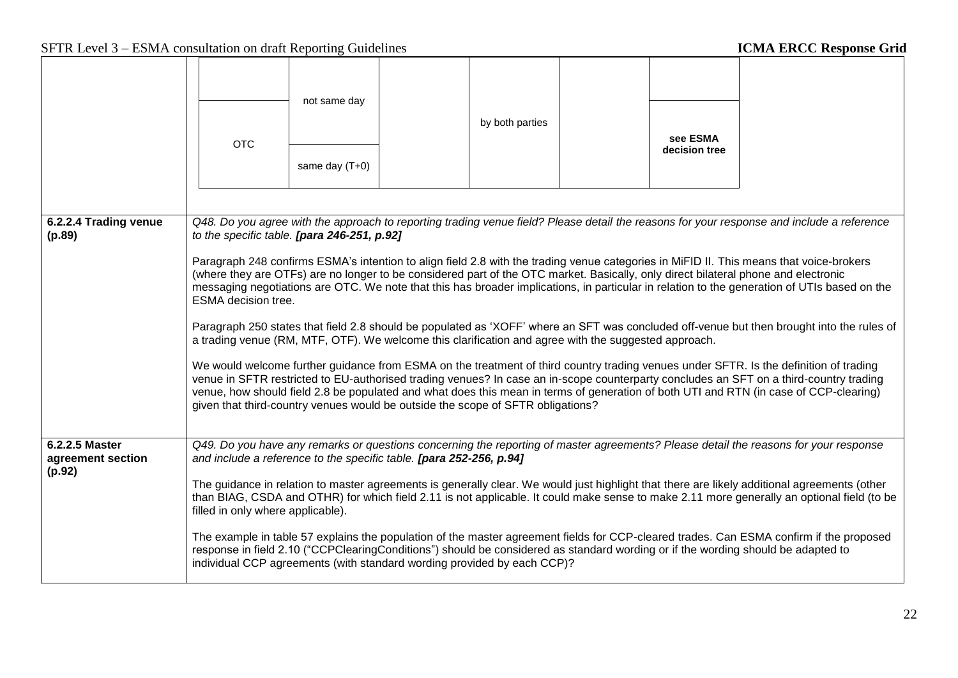|                                     | <b>OTC</b>                                                                                                                                                                                                                                                                                                                                                                                                                                                                                                                                                                                                                                                                                                                                                                                                                                                                                                                                                                                                                                                                                                                                                                                                                                                                                                                                                                                                                  | not same day<br>same day (T+0) |  | by both parties |  | see ESMA<br>decision tree |  |  |  |
|-------------------------------------|-----------------------------------------------------------------------------------------------------------------------------------------------------------------------------------------------------------------------------------------------------------------------------------------------------------------------------------------------------------------------------------------------------------------------------------------------------------------------------------------------------------------------------------------------------------------------------------------------------------------------------------------------------------------------------------------------------------------------------------------------------------------------------------------------------------------------------------------------------------------------------------------------------------------------------------------------------------------------------------------------------------------------------------------------------------------------------------------------------------------------------------------------------------------------------------------------------------------------------------------------------------------------------------------------------------------------------------------------------------------------------------------------------------------------------|--------------------------------|--|-----------------|--|---------------------------|--|--|--|
| 6.2.2.4 Trading venue               |                                                                                                                                                                                                                                                                                                                                                                                                                                                                                                                                                                                                                                                                                                                                                                                                                                                                                                                                                                                                                                                                                                                                                                                                                                                                                                                                                                                                                             |                                |  |                 |  |                           |  |  |  |
| (p.89)                              | Q48. Do you agree with the approach to reporting trading venue field? Please detail the reasons for your response and include a reference<br>to the specific table. [para 246-251, p.92]<br>Paragraph 248 confirms ESMA's intention to align field 2.8 with the trading venue categories in MiFID II. This means that voice-brokers<br>(where they are OTFs) are no longer to be considered part of the OTC market. Basically, only direct bilateral phone and electronic<br>messaging negotiations are OTC. We note that this has broader implications, in particular in relation to the generation of UTIs based on the<br><b>ESMA</b> decision tree.<br>Paragraph 250 states that field 2.8 should be populated as 'XOFF' where an SFT was concluded off-venue but then brought into the rules of<br>a trading venue (RM, MTF, OTF). We welcome this clarification and agree with the suggested approach.<br>We would welcome further guidance from ESMA on the treatment of third country trading venues under SFTR. Is the definition of trading<br>venue in SFTR restricted to EU-authorised trading venues? In case an in-scope counterparty concludes an SFT on a third-country trading<br>venue, how should field 2.8 be populated and what does this mean in terms of generation of both UTI and RTN (in case of CCP-clearing)<br>given that third-country venues would be outside the scope of SFTR obligations? |                                |  |                 |  |                           |  |  |  |
| 6.2.2.5 Master<br>agreement section | Q49. Do you have any remarks or questions concerning the reporting of master agreements? Please detail the reasons for your response<br>and include a reference to the specific table. [para 252-256, p.94]                                                                                                                                                                                                                                                                                                                                                                                                                                                                                                                                                                                                                                                                                                                                                                                                                                                                                                                                                                                                                                                                                                                                                                                                                 |                                |  |                 |  |                           |  |  |  |
| (p.92)                              | The guidance in relation to master agreements is generally clear. We would just highlight that there are likely additional agreements (other<br>than BIAG, CSDA and OTHR) for which field 2.11 is not applicable. It could make sense to make 2.11 more generally an optional field (to be<br>filled in only where applicable).                                                                                                                                                                                                                                                                                                                                                                                                                                                                                                                                                                                                                                                                                                                                                                                                                                                                                                                                                                                                                                                                                             |                                |  |                 |  |                           |  |  |  |
|                                     | The example in table 57 explains the population of the master agreement fields for CCP-cleared trades. Can ESMA confirm if the proposed<br>response in field 2.10 ("CCPClearingConditions") should be considered as standard wording or if the wording should be adapted to<br>individual CCP agreements (with standard wording provided by each CCP)?                                                                                                                                                                                                                                                                                                                                                                                                                                                                                                                                                                                                                                                                                                                                                                                                                                                                                                                                                                                                                                                                      |                                |  |                 |  |                           |  |  |  |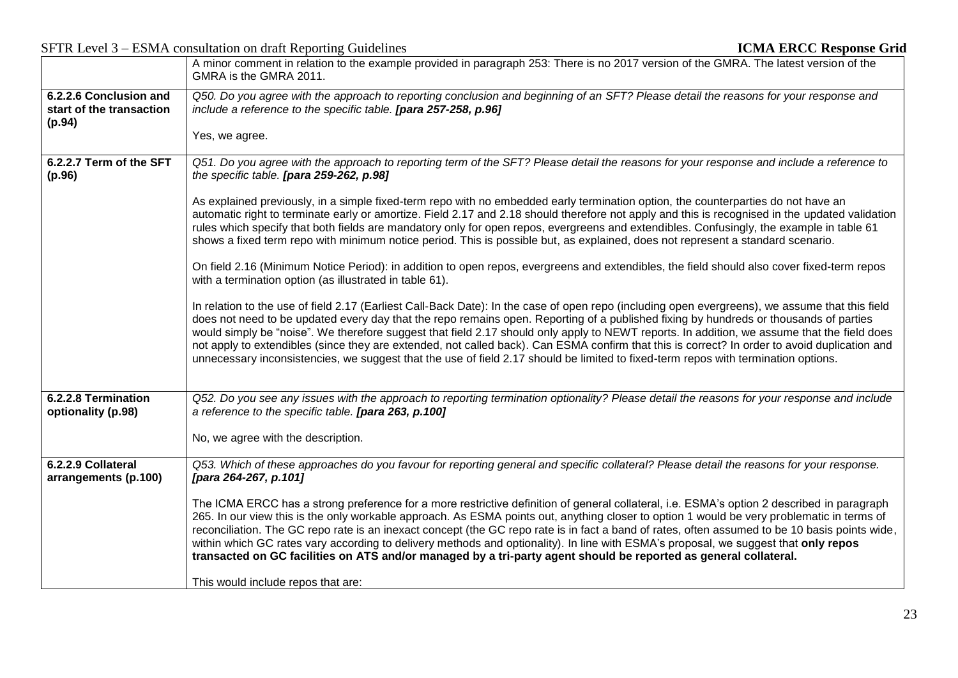|                          | SFTR Level 3 – ESMA consultation on draft Reporting Guidelines<br><b>ICMA ERCC Response Grid</b>                                                |
|--------------------------|-------------------------------------------------------------------------------------------------------------------------------------------------|
|                          | A minor comment in relation to the example provided in paragraph 253: There is no 2017 version of the GMRA. The latest version of the           |
|                          | GMRA is the GMRA 2011.                                                                                                                          |
| 6.2.2.6 Conclusion and   | Q50. Do you agree with the approach to reporting conclusion and beginning of an SFT? Please detail the reasons for your response and            |
| start of the transaction | include a reference to the specific table. [para 257-258, p.96]                                                                                 |
| (p.94)                   |                                                                                                                                                 |
|                          | Yes, we agree.                                                                                                                                  |
|                          |                                                                                                                                                 |
| 6.2.2.7 Term of the SFT  | Q51. Do you agree with the approach to reporting term of the SFT? Please detail the reasons for your response and include a reference to        |
| (p.96)                   | the specific table. [para 259-262, p.98]                                                                                                        |
|                          |                                                                                                                                                 |
|                          | As explained previously, in a simple fixed-term repo with no embedded early termination option, the counterparties do not have an               |
|                          | automatic right to terminate early or amortize. Field 2.17 and 2.18 should therefore not apply and this is recognised in the updated validation |
|                          | rules which specify that both fields are mandatory only for open repos, evergreens and extendibles. Confusingly, the example in table 61        |
|                          | shows a fixed term repo with minimum notice period. This is possible but, as explained, does not represent a standard scenario.                 |
|                          | On field 2.16 (Minimum Notice Period): in addition to open repos, evergreens and extendibles, the field should also cover fixed-term repos      |
|                          | with a termination option (as illustrated in table 61).                                                                                         |
|                          |                                                                                                                                                 |
|                          | In relation to the use of field 2.17 (Earliest Call-Back Date): In the case of open repo (including open evergreens), we assume that this field |
|                          | does not need to be updated every day that the repo remains open. Reporting of a published fixing by hundreds or thousands of parties           |
|                          | would simply be "noise". We therefore suggest that field 2.17 should only apply to NEWT reports. In addition, we assume that the field does     |
|                          | not apply to extendibles (since they are extended, not called back). Can ESMA confirm that this is correct? In order to avoid duplication and   |
|                          | unnecessary inconsistencies, we suggest that the use of field 2.17 should be limited to fixed-term repos with termination options.              |
|                          |                                                                                                                                                 |
|                          |                                                                                                                                                 |
| 6.2.2.8 Termination      | Q52. Do you see any issues with the approach to reporting termination optionality? Please detail the reasons for your response and include      |
| optionality (p.98)       | a reference to the specific table. [para 263, p.100]                                                                                            |
|                          | No, we agree with the description.                                                                                                              |
|                          |                                                                                                                                                 |
| 6.2.2.9 Collateral       | Q53. Which of these approaches do you favour for reporting general and specific collateral? Please detail the reasons for your response.        |
| arrangements (p.100)     | [para 264-267, p.101]                                                                                                                           |
|                          |                                                                                                                                                 |
|                          | The ICMA ERCC has a strong preference for a more restrictive definition of general collateral, i.e. ESMA's option 2 described in paragraph      |
|                          | 265. In our view this is the only workable approach. As ESMA points out, anything closer to option 1 would be very problematic in terms of      |
|                          | reconciliation. The GC repo rate is an inexact concept (the GC repo rate is in fact a band of rates, often assumed to be 10 basis points wide,  |
|                          | within which GC rates vary according to delivery methods and optionality). In line with ESMA's proposal, we suggest that only repos             |
|                          | transacted on GC facilities on ATS and/or managed by a tri-party agent should be reported as general collateral.                                |
|                          |                                                                                                                                                 |
|                          | This would include repos that are:                                                                                                              |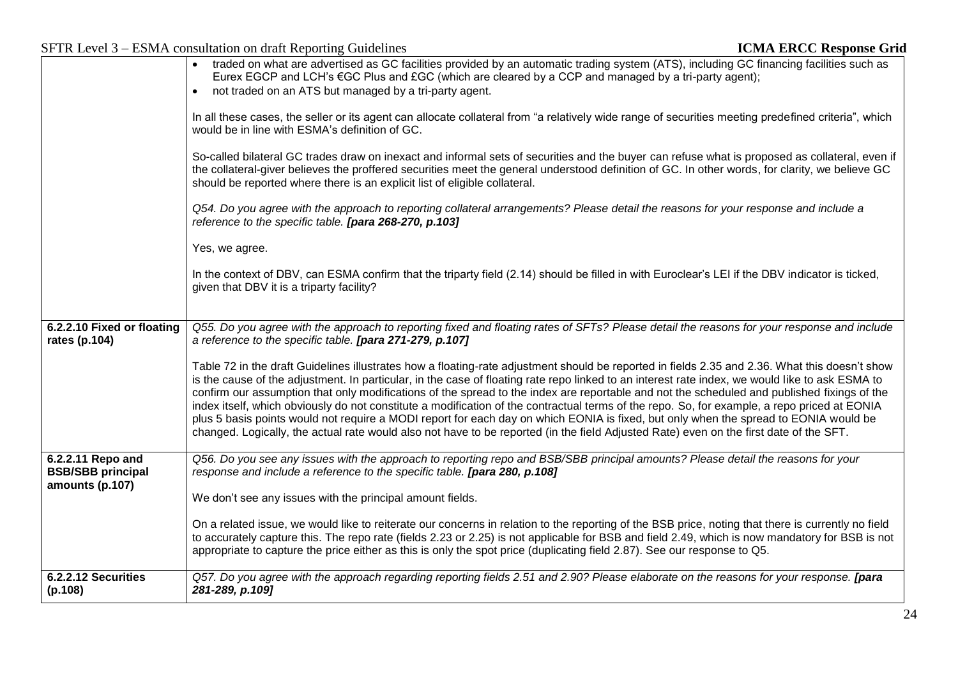|                                                                  | • traded on what are advertised as GC facilities provided by an automatic trading system (ATS), including GC financing facilities such as<br>Eurex EGCP and LCH's €GC Plus and £GC (which are cleared by a CCP and managed by a tri-party agent);<br>not traded on an ATS but managed by a tri-party agent.<br>$\bullet$                                                                                                                                                                                                                                                                                                                                                                                                                                                                                                                                                           |
|------------------------------------------------------------------|------------------------------------------------------------------------------------------------------------------------------------------------------------------------------------------------------------------------------------------------------------------------------------------------------------------------------------------------------------------------------------------------------------------------------------------------------------------------------------------------------------------------------------------------------------------------------------------------------------------------------------------------------------------------------------------------------------------------------------------------------------------------------------------------------------------------------------------------------------------------------------|
|                                                                  | In all these cases, the seller or its agent can allocate collateral from "a relatively wide range of securities meeting predefined criteria", which<br>would be in line with ESMA's definition of GC.                                                                                                                                                                                                                                                                                                                                                                                                                                                                                                                                                                                                                                                                              |
|                                                                  | So-called bilateral GC trades draw on inexact and informal sets of securities and the buyer can refuse what is proposed as collateral, even if<br>the collateral-giver believes the proffered securities meet the general understood definition of GC. In other words, for clarity, we believe GC<br>should be reported where there is an explicit list of eligible collateral.                                                                                                                                                                                                                                                                                                                                                                                                                                                                                                    |
|                                                                  | Q54. Do you agree with the approach to reporting collateral arrangements? Please detail the reasons for your response and include a<br>reference to the specific table. [para 268-270, p.103]                                                                                                                                                                                                                                                                                                                                                                                                                                                                                                                                                                                                                                                                                      |
|                                                                  | Yes, we agree.                                                                                                                                                                                                                                                                                                                                                                                                                                                                                                                                                                                                                                                                                                                                                                                                                                                                     |
|                                                                  | In the context of DBV, can ESMA confirm that the triparty field (2.14) should be filled in with Euroclear's LEI if the DBV indicator is ticked,<br>given that DBV it is a triparty facility?                                                                                                                                                                                                                                                                                                                                                                                                                                                                                                                                                                                                                                                                                       |
|                                                                  |                                                                                                                                                                                                                                                                                                                                                                                                                                                                                                                                                                                                                                                                                                                                                                                                                                                                                    |
| 6.2.2.10 Fixed or floating<br>rates (p.104)                      | Q55. Do you agree with the approach to reporting fixed and floating rates of SFTs? Please detail the reasons for your response and include<br>a reference to the specific table. [para 271-279, p.107]                                                                                                                                                                                                                                                                                                                                                                                                                                                                                                                                                                                                                                                                             |
|                                                                  | Table 72 in the draft Guidelines illustrates how a floating-rate adjustment should be reported in fields 2.35 and 2.36. What this doesn't show<br>is the cause of the adjustment. In particular, in the case of floating rate repo linked to an interest rate index, we would like to ask ESMA to<br>confirm our assumption that only modifications of the spread to the index are reportable and not the scheduled and published fixings of the<br>index itself, which obviously do not constitute a modification of the contractual terms of the repo. So, for example, a repo priced at EONIA<br>plus 5 basis points would not require a MODI report for each day on which EONIA is fixed, but only when the spread to EONIA would be<br>changed. Logically, the actual rate would also not have to be reported (in the field Adjusted Rate) even on the first date of the SFT. |
| 6.2.2.11 Repo and<br><b>BSB/SBB principal</b><br>amounts (p.107) | Q56. Do you see any issues with the approach to reporting repo and BSB/SBB principal amounts? Please detail the reasons for your<br>response and include a reference to the specific table. [para 280, p.108]                                                                                                                                                                                                                                                                                                                                                                                                                                                                                                                                                                                                                                                                      |
|                                                                  | We don't see any issues with the principal amount fields.                                                                                                                                                                                                                                                                                                                                                                                                                                                                                                                                                                                                                                                                                                                                                                                                                          |
|                                                                  | On a related issue, we would like to reiterate our concerns in relation to the reporting of the BSB price, noting that there is currently no field<br>to accurately capture this. The repo rate (fields 2.23 or 2.25) is not applicable for BSB and field 2.49, which is now mandatory for BSB is not<br>appropriate to capture the price either as this is only the spot price (duplicating field 2.87). See our response to Q5.                                                                                                                                                                                                                                                                                                                                                                                                                                                  |
| 6.2.2.12 Securities<br>(p.108)                                   | Q57. Do you agree with the approach regarding reporting fields 2.51 and 2.90? Please elaborate on the reasons for your response. [para<br>281-289, p.109]                                                                                                                                                                                                                                                                                                                                                                                                                                                                                                                                                                                                                                                                                                                          |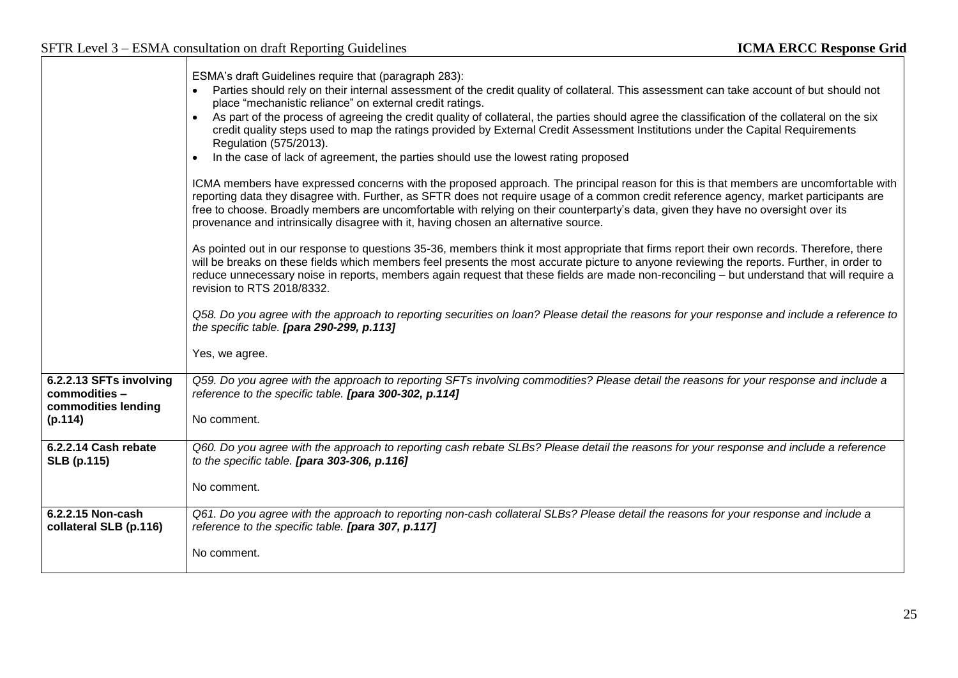|                                                                            | ESMA's draft Guidelines require that (paragraph 283):<br>Parties should rely on their internal assessment of the credit quality of collateral. This assessment can take account of but should not<br>place "mechanistic reliance" on external credit ratings.<br>As part of the process of agreeing the credit quality of collateral, the parties should agree the classification of the collateral on the six<br>credit quality steps used to map the ratings provided by External Credit Assessment Institutions under the Capital Requirements<br>Regulation (575/2013).<br>In the case of lack of agreement, the parties should use the lowest rating proposed<br>ICMA members have expressed concerns with the proposed approach. The principal reason for this is that members are uncomfortable with<br>reporting data they disagree with. Further, as SFTR does not require usage of a common credit reference agency, market participants are<br>free to choose. Broadly members are uncomfortable with relying on their counterparty's data, given they have no oversight over its |
|----------------------------------------------------------------------------|----------------------------------------------------------------------------------------------------------------------------------------------------------------------------------------------------------------------------------------------------------------------------------------------------------------------------------------------------------------------------------------------------------------------------------------------------------------------------------------------------------------------------------------------------------------------------------------------------------------------------------------------------------------------------------------------------------------------------------------------------------------------------------------------------------------------------------------------------------------------------------------------------------------------------------------------------------------------------------------------------------------------------------------------------------------------------------------------|
|                                                                            | provenance and intrinsically disagree with it, having chosen an alternative source.<br>As pointed out in our response to questions 35-36, members think it most appropriate that firms report their own records. Therefore, there<br>will be breaks on these fields which members feel presents the most accurate picture to anyone reviewing the reports. Further, in order to<br>reduce unnecessary noise in reports, members again request that these fields are made non-reconciling - but understand that will require a<br>revision to RTS 2018/8332.<br>Q58. Do you agree with the approach to reporting securities on loan? Please detail the reasons for your response and include a reference to<br>the specific table. [para 290-299, p.113]                                                                                                                                                                                                                                                                                                                                      |
|                                                                            | Yes, we agree.                                                                                                                                                                                                                                                                                                                                                                                                                                                                                                                                                                                                                                                                                                                                                                                                                                                                                                                                                                                                                                                                               |
| 6.2.2.13 SFTs involving<br>commodities -<br>commodities lending<br>(p.114) | Q59. Do you agree with the approach to reporting SFTs involving commodities? Please detail the reasons for your response and include a<br>reference to the specific table. [para 300-302, p.114]<br>No comment.                                                                                                                                                                                                                                                                                                                                                                                                                                                                                                                                                                                                                                                                                                                                                                                                                                                                              |
| 6.2.2.14 Cash rebate<br><b>SLB</b> (p.115)                                 | Q60. Do you agree with the approach to reporting cash rebate SLBs? Please detail the reasons for your response and include a reference<br>to the specific table. [para 303-306, p.116]<br>No comment.                                                                                                                                                                                                                                                                                                                                                                                                                                                                                                                                                                                                                                                                                                                                                                                                                                                                                        |
| 6.2.2.15 Non-cash<br>collateral SLB (p.116)                                | Q61. Do you agree with the approach to reporting non-cash collateral SLBs? Please detail the reasons for your response and include a<br>reference to the specific table. [para 307, p.117]<br>No comment.                                                                                                                                                                                                                                                                                                                                                                                                                                                                                                                                                                                                                                                                                                                                                                                                                                                                                    |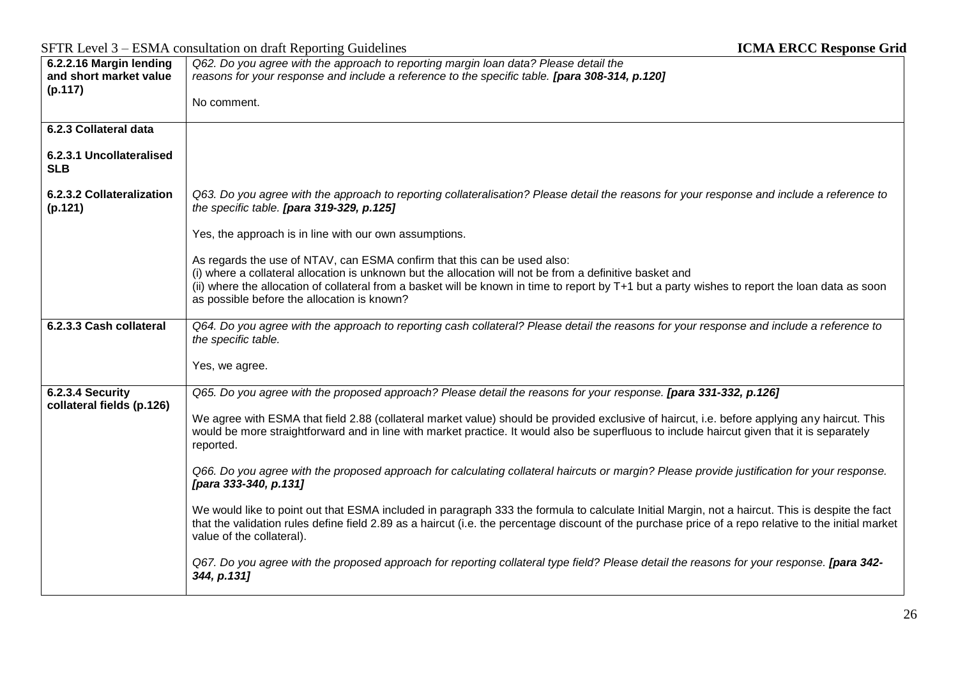| 6.2.2.16 Margin lending                | Q62. Do you agree with the approach to reporting margin loan data? Please detail the                                                                                                                                                                                                                                                                                                   |
|----------------------------------------|----------------------------------------------------------------------------------------------------------------------------------------------------------------------------------------------------------------------------------------------------------------------------------------------------------------------------------------------------------------------------------------|
| and short market value                 | reasons for your response and include a reference to the specific table. [para 308-314, p.120]                                                                                                                                                                                                                                                                                         |
| (p.117)                                | No comment.                                                                                                                                                                                                                                                                                                                                                                            |
|                                        |                                                                                                                                                                                                                                                                                                                                                                                        |
| 6.2.3 Collateral data                  |                                                                                                                                                                                                                                                                                                                                                                                        |
| 6.2.3.1 Uncollateralised<br><b>SLB</b> |                                                                                                                                                                                                                                                                                                                                                                                        |
| 6.2.3.2 Collateralization<br>(p.121)   | Q63. Do you agree with the approach to reporting collateralisation? Please detail the reasons for your response and include a reference to<br>the specific table. [para 319-329, p.125]                                                                                                                                                                                                |
|                                        | Yes, the approach is in line with our own assumptions.                                                                                                                                                                                                                                                                                                                                 |
|                                        | As regards the use of NTAV, can ESMA confirm that this can be used also:<br>(i) where a collateral allocation is unknown but the allocation will not be from a definitive basket and<br>(ii) where the allocation of collateral from a basket will be known in time to report by T+1 but a party wishes to report the loan data as soon<br>as possible before the allocation is known? |
| 6.2.3.3 Cash collateral                | Q64. Do you agree with the approach to reporting cash collateral? Please detail the reasons for your response and include a reference to<br>the specific table.                                                                                                                                                                                                                        |
|                                        | Yes, we agree.                                                                                                                                                                                                                                                                                                                                                                         |
| 6.2.3.4 Security                       | Q65. Do you agree with the proposed approach? Please detail the reasons for your response. [para 331-332, p.126]                                                                                                                                                                                                                                                                       |
| collateral fields (p.126)              | We agree with ESMA that field 2.88 (collateral market value) should be provided exclusive of haircut, i.e. before applying any haircut. This<br>would be more straightforward and in line with market practice. It would also be superfluous to include haircut given that it is separately<br>reported.                                                                               |
|                                        | Q66. Do you agree with the proposed approach for calculating collateral haircuts or margin? Please provide justification for your response.<br>[para 333-340, p.131]                                                                                                                                                                                                                   |
|                                        | We would like to point out that ESMA included in paragraph 333 the formula to calculate Initial Margin, not a haircut. This is despite the fact<br>that the validation rules define field 2.89 as a haircut (i.e. the percentage discount of the purchase price of a repo relative to the initial market<br>value of the collateral).                                                  |
|                                        | Q67. Do you agree with the proposed approach for reporting collateral type field? Please detail the reasons for your response. [para 342-<br>344, p.131]                                                                                                                                                                                                                               |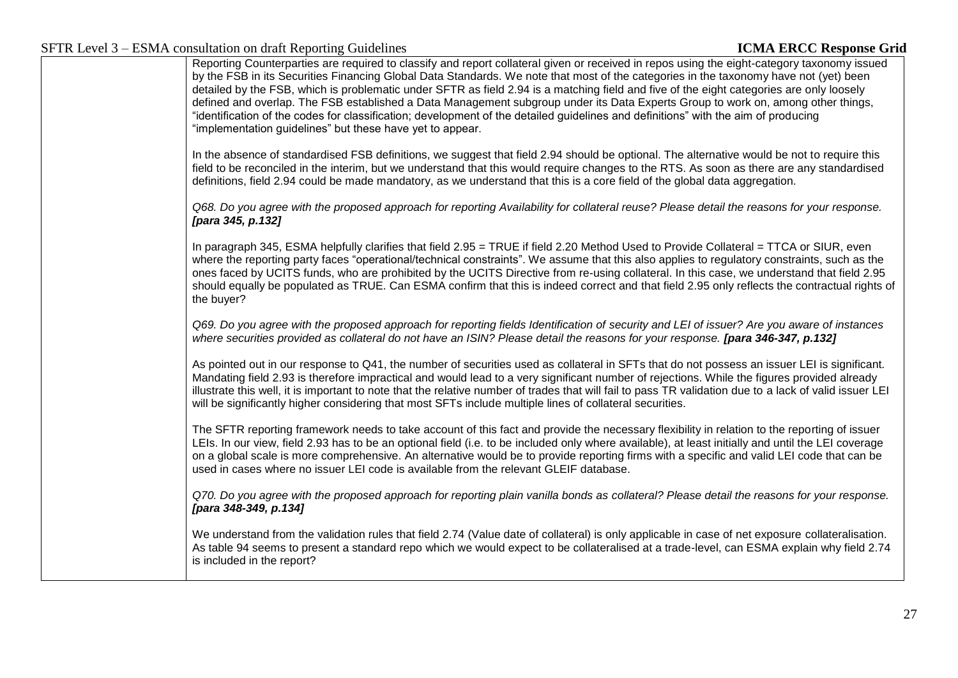Reporting Counterparties are required to classify and report collateral given or received in repos using the eight-category taxonomy issued by the FSB in its Securities Financing Global Data Standards. We note that most of the categories in the taxonomy have not (yet) been detailed by the FSB, which is problematic under SFTR as field 2.94 is a matching field and five of the eight categories are only loosely defined and overlap. The FSB established a Data Management subgroup under its Data Experts Group to work on, among other things, "identification of the codes for classification; development of the detailed guidelines and definitions" with the aim of producing "implementation guidelines" but these have yet to appear.

In the absence of standardised FSB definitions, we suggest that field 2.94 should be optional. The alternative would be not to require this field to be reconciled in the interim, but we understand that this would require changes to the RTS. As soon as there are any standardised definitions, field 2.94 could be made mandatory, as we understand that this is a core field of the global data aggregation.

*Q68. Do you agree with the proposed approach for reporting Availability for collateral reuse? Please detail the reasons for your response. [para 345, p.132]*

In paragraph 345, ESMA helpfully clarifies that field 2.95 = TRUE if field 2.20 Method Used to Provide Collateral = TTCA or SIUR, even where the reporting party faces "operational/technical constraints". We assume that this also applies to regulatory constraints, such as the ones faced by UCITS funds, who are prohibited by the UCITS Directive from re-using collateral. In this case, we understand that field 2.95 should equally be populated as TRUE. Can ESMA confirm that this is indeed correct and that field 2.95 only reflects the contractual rights of the buyer?

*Q69. Do you agree with the proposed approach for reporting fields Identification of security and LEI of issuer? Are you aware of instances where securities provided as collateral do not have an ISIN? Please detail the reasons for your response. [para 346-347, p.132]*

As pointed out in our response to Q41, the number of securities used as collateral in SFTs that do not possess an issuer LEI is significant. Mandating field 2.93 is therefore impractical and would lead to a very significant number of rejections. While the figures provided already illustrate this well, it is important to note that the relative number of trades that will fail to pass TR validation due to a lack of valid issuer LEI will be significantly higher considering that most SFTs include multiple lines of collateral securities.

The SFTR reporting framework needs to take account of this fact and provide the necessary flexibility in relation to the reporting of issuer LEIs. In our view, field 2.93 has to be an optional field (i.e. to be included only where available), at least initially and until the LEI coverage on a global scale is more comprehensive. An alternative would be to provide reporting firms with a specific and valid LEI code that can be used in cases where no issuer LEI code is available from the relevant GLEIF database.

*Q70. Do you agree with the proposed approach for reporting plain vanilla bonds as collateral? Please detail the reasons for your response. [para 348-349, p.134]*

We understand from the validation rules that field 2.74 (Value date of collateral) is only applicable in case of net exposure collateralisation. As table 94 seems to present a standard repo which we would expect to be collateralised at a trade-level, can ESMA explain why field 2.74 is included in the report?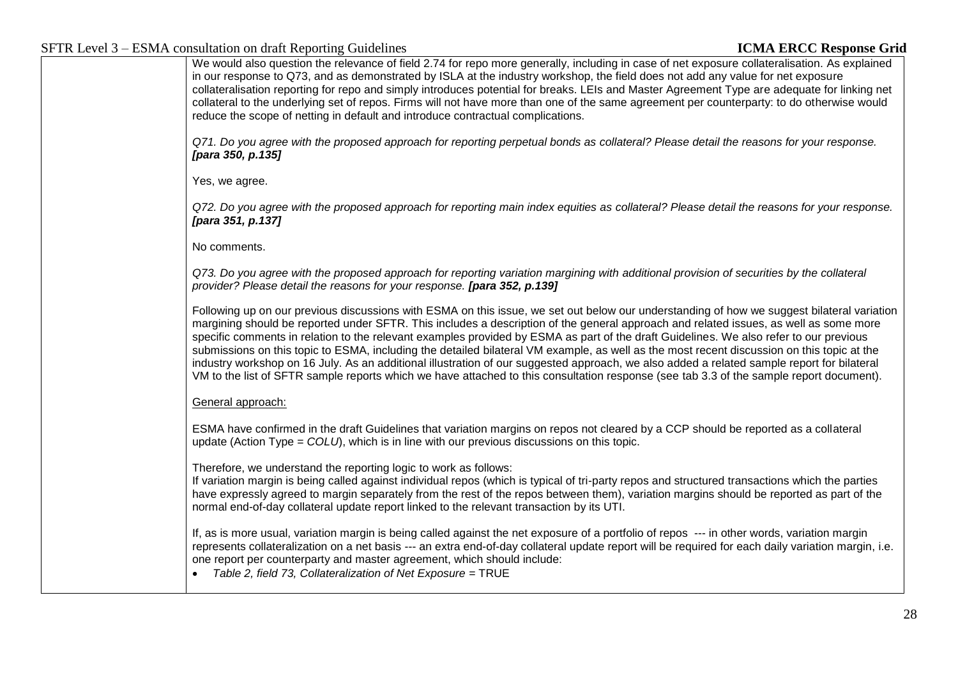We would also question the relevance of field 2.74 for repo more generally, including in case of net exposure collateralisation. As explained in our response to Q73, and as demonstrated by ISLA at the industry workshop, the field does not add any value for net exposure collateralisation reporting for repo and simply introduces potential for breaks. LEIs and Master Agreement Type are adequate for linking net collateral to the underlying set of repos. Firms will not have more than one of the same agreement per counterparty: to do otherwise would reduce the scope of netting in default and introduce contractual complications.

*Q71. Do you agree with the proposed approach for reporting perpetual bonds as collateral? Please detail the reasons for your response. [para 350, p.135]*

Yes, we agree.

*Q72. Do you agree with the proposed approach for reporting main index equities as collateral? Please detail the reasons for your response. [para 351, p.137]*

No comments.

*Q73. Do you agree with the proposed approach for reporting variation margining with additional provision of securities by the collateral provider? Please detail the reasons for your response. [para 352, p.139]*

Following up on our previous discussions with ESMA on this issue, we set out below our understanding of how we suggest bilateral variation margining should be reported under SFTR. This includes a description of the general approach and related issues, as well as some more specific comments in relation to the relevant examples provided by ESMA as part of the draft Guidelines. We also refer to our previous submissions on this topic to ESMA, including the detailed bilateral VM example, as well as the most recent discussion on this topic at the industry workshop on 16 July. As an additional illustration of our suggested approach, we also added a related sample report for bilateral VM to the list of SFTR sample reports which we have attached to this consultation response (see tab 3.3 of the sample report document).

General approach:

ESMA have confirmed in the draft Guidelines that variation margins on repos not cleared by a CCP should be reported as a collateral update (Action Type = *COLU*), which is in line with our previous discussions on this topic.

Therefore, we understand the reporting logic to work as follows:

If variation margin is being called against individual repos (which is typical of tri-party repos and structured transactions which the parties have expressly agreed to margin separately from the rest of the repos between them), variation margins should be reported as part of the normal end-of-day collateral update report linked to the relevant transaction by its UTI.

If, as is more usual, variation margin is being called against the net exposure of a portfolio of repos --- in other words, variation margin represents collateralization on a net basis --- an extra end-of-day collateral update report will be required for each daily variation margin, i.e. one report per counterparty and master agreement, which should include:

• *Table 2, field 73, Collateralization of Net Exposure* = TRUE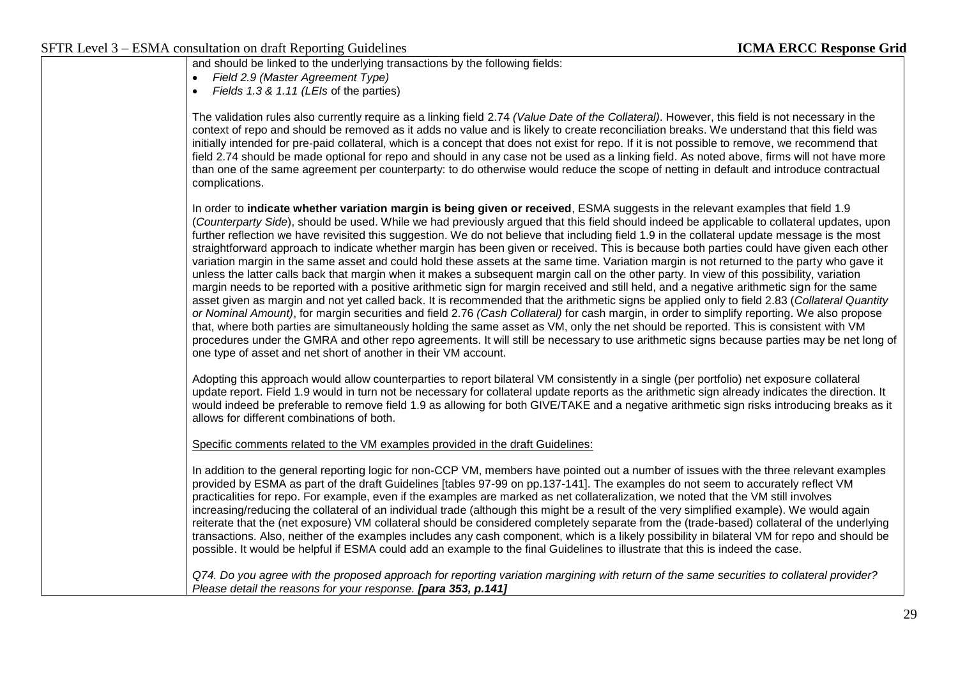and should be linked to the underlying transactions by the following fields:

- *Field 2.9 (Master Agreement Type)*
- *Fields 1.3 & 1.11 (LEIs* of the parties)

The validation rules also currently require as a linking field 2.74 *(Value Date of the Collateral)*. However, this field is not necessary in the context of repo and should be removed as it adds no value and is likely to create reconciliation breaks. We understand that this field was initially intended for pre-paid collateral, which is a concept that does not exist for repo. If it is not possible to remove, we recommend that field 2.74 should be made optional for repo and should in any case not be used as a linking field. As noted above, firms will not have more than one of the same agreement per counterparty: to do otherwise would reduce the scope of netting in default and introduce contractual complications.

In order to **indicate whether variation margin is being given or received**, ESMA suggests in the relevant examples that field 1.9 (*Counterparty Side*), should be used. While we had previously argued that this field should indeed be applicable to collateral updates, upon further reflection we have revisited this suggestion. We do not believe that including field 1.9 in the collateral update message is the most straightforward approach to indicate whether margin has been given or received. This is because both parties could have given each other variation margin in the same asset and could hold these assets at the same time. Variation margin is not returned to the party who gave it unless the latter calls back that margin when it makes a subsequent margin call on the other party. In view of this possibility, variation margin needs to be reported with a positive arithmetic sign for margin received and still held, and a negative arithmetic sign for the same asset given as margin and not yet called back. It is recommended that the arithmetic signs be applied only to field 2.83 (*Collateral Quantity or Nominal Amount)*, for margin securities and field 2.76 *(Cash Collateral)* for cash margin, in order to simplify reporting. We also propose that, where both parties are simultaneously holding the same asset as VM, only the net should be reported. This is consistent with VM procedures under the GMRA and other repo agreements. It will still be necessary to use arithmetic signs because parties may be net long of one type of asset and net short of another in their VM account.

Adopting this approach would allow counterparties to report bilateral VM consistently in a single (per portfolio) net exposure collateral update report. Field 1.9 would in turn not be necessary for collateral update reports as the arithmetic sign already indicates the direction. It would indeed be preferable to remove field 1.9 as allowing for both GIVE/TAKE and a negative arithmetic sign risks introducing breaks as it allows for different combinations of both.

Specific comments related to the VM examples provided in the draft Guidelines:

In addition to the general reporting logic for non-CCP VM, members have pointed out a number of issues with the three relevant examples provided by ESMA as part of the draft Guidelines [tables 97-99 on pp.137-141]. The examples do not seem to accurately reflect VM practicalities for repo. For example, even if the examples are marked as net collateralization, we noted that the VM still involves increasing/reducing the collateral of an individual trade (although this might be a result of the very simplified example). We would again reiterate that the (net exposure) VM collateral should be considered completely separate from the (trade-based) collateral of the underlying transactions. Also, neither of the examples includes any cash component, which is a likely possibility in bilateral VM for repo and should be possible. It would be helpful if ESMA could add an example to the final Guidelines to illustrate that this is indeed the case.

*Q74. Do you agree with the proposed approach for reporting variation margining with return of the same securities to collateral provider? Please detail the reasons for your response. [para 353, p.141]*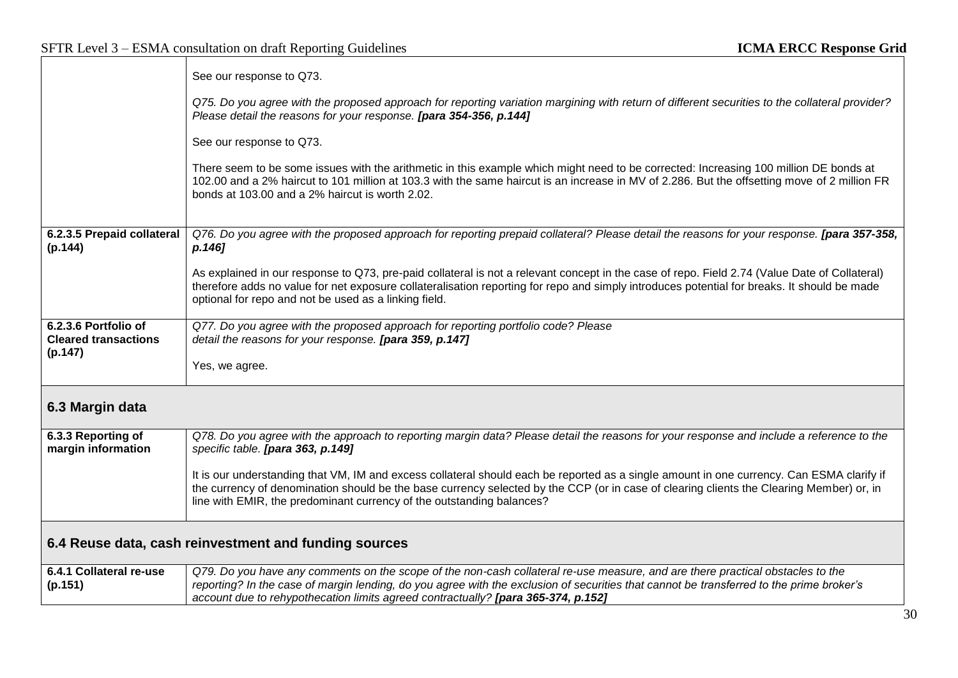|                                                       | See our response to Q73.                                                                                                                                                                                                                                                                                                                                        |
|-------------------------------------------------------|-----------------------------------------------------------------------------------------------------------------------------------------------------------------------------------------------------------------------------------------------------------------------------------------------------------------------------------------------------------------|
|                                                       | Q75. Do you agree with the proposed approach for reporting variation margining with return of different securities to the collateral provider?<br>Please detail the reasons for your response. [para 354-356, p.144]                                                                                                                                            |
|                                                       | See our response to Q73.                                                                                                                                                                                                                                                                                                                                        |
|                                                       | There seem to be some issues with the arithmetic in this example which might need to be corrected: Increasing 100 million DE bonds at<br>102.00 and a 2% haircut to 101 million at 103.3 with the same haircut is an increase in MV of 2.286. But the offsetting move of 2 million FR<br>bonds at 103.00 and a 2% haircut is worth 2.02.                        |
| 6.2.3.5 Prepaid collateral<br>(p.144)                 | Q76. Do you agree with the proposed approach for reporting prepaid collateral? Please detail the reasons for your response. [para 357-358,<br>p.146]                                                                                                                                                                                                            |
|                                                       | As explained in our response to Q73, pre-paid collateral is not a relevant concept in the case of repo. Field 2.74 (Value Date of Collateral)<br>therefore adds no value for net exposure collateralisation reporting for repo and simply introduces potential for breaks. It should be made<br>optional for repo and not be used as a linking field.           |
| 6.2.3.6 Portfolio of<br><b>Cleared transactions</b>   | Q77. Do you agree with the proposed approach for reporting portfolio code? Please<br>detail the reasons for your response. [para 359, p.147]                                                                                                                                                                                                                    |
| (p.147)                                               | Yes, we agree.                                                                                                                                                                                                                                                                                                                                                  |
| 6.3 Margin data                                       |                                                                                                                                                                                                                                                                                                                                                                 |
| 6.3.3 Reporting of<br>margin information              | Q78. Do you agree with the approach to reporting margin data? Please detail the reasons for your response and include a reference to the<br>specific table. [para 363, p.149]                                                                                                                                                                                   |
|                                                       | It is our understanding that VM, IM and excess collateral should each be reported as a single amount in one currency. Can ESMA clarify if<br>the currency of denomination should be the base currency selected by the CCP (or in case of clearing clients the Clearing Member) or, in<br>line with EMIR, the predominant currency of the outstanding balances?  |
| 6.4 Reuse data, cash reinvestment and funding sources |                                                                                                                                                                                                                                                                                                                                                                 |
| 6.4.1 Collateral re-use<br>(p.151)                    | Q79. Do you have any comments on the scope of the non-cash collateral re-use measure, and are there practical obstacles to the<br>reporting? In the case of margin lending, do you agree with the exclusion of securities that cannot be transferred to the prime broker's<br>account due to rehypothecation limits agreed contractually? [para 365-374, p.152] |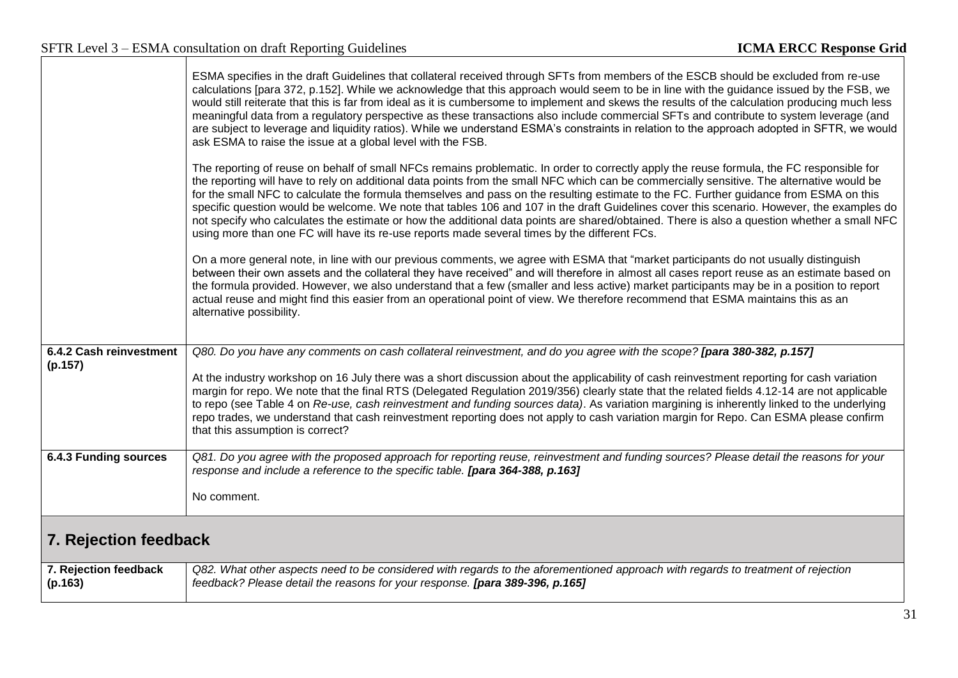|                                    | ESMA specifies in the draft Guidelines that collateral received through SFTs from members of the ESCB should be excluded from re-use<br>calculations [para 372, p.152]. While we acknowledge that this approach would seem to be in line with the guidance issued by the FSB, we<br>would still reiterate that this is far from ideal as it is cumbersome to implement and skews the results of the calculation producing much less<br>meaningful data from a regulatory perspective as these transactions also include commercial SFTs and contribute to system leverage (and<br>are subject to leverage and liquidity ratios). While we understand ESMA's constraints in relation to the approach adopted in SFTR, we would<br>ask ESMA to raise the issue at a global level with the FSB.                                  |  |
|------------------------------------|-------------------------------------------------------------------------------------------------------------------------------------------------------------------------------------------------------------------------------------------------------------------------------------------------------------------------------------------------------------------------------------------------------------------------------------------------------------------------------------------------------------------------------------------------------------------------------------------------------------------------------------------------------------------------------------------------------------------------------------------------------------------------------------------------------------------------------|--|
|                                    | The reporting of reuse on behalf of small NFCs remains problematic. In order to correctly apply the reuse formula, the FC responsible for<br>the reporting will have to rely on additional data points from the small NFC which can be commercially sensitive. The alternative would be<br>for the small NFC to calculate the formula themselves and pass on the resulting estimate to the FC. Further guidance from ESMA on this<br>specific question would be welcome. We note that tables 106 and 107 in the draft Guidelines cover this scenario. However, the examples do<br>not specify who calculates the estimate or how the additional data points are shared/obtained. There is also a question whether a small NFC<br>using more than one FC will have its re-use reports made several times by the different FCs. |  |
|                                    | On a more general note, in line with our previous comments, we agree with ESMA that "market participants do not usually distinguish<br>between their own assets and the collateral they have received" and will therefore in almost all cases report reuse as an estimate based on<br>the formula provided. However, we also understand that a few (smaller and less active) market participants may be in a position to report<br>actual reuse and might find this easier from an operational point of view. We therefore recommend that ESMA maintains this as an<br>alternative possibility.                                                                                                                                                                                                                               |  |
| 6.4.2 Cash reinvestment<br>(p.157) | Q80. Do you have any comments on cash collateral reinvestment, and do you agree with the scope? [para 380-382, p.157]                                                                                                                                                                                                                                                                                                                                                                                                                                                                                                                                                                                                                                                                                                         |  |
|                                    | At the industry workshop on 16 July there was a short discussion about the applicability of cash reinvestment reporting for cash variation<br>margin for repo. We note that the final RTS (Delegated Regulation 2019/356) clearly state that the related fields 4.12-14 are not applicable<br>to repo (see Table 4 on Re-use, cash reinvestment and funding sources data). As variation margining is inherently linked to the underlying<br>repo trades, we understand that cash reinvestment reporting does not apply to cash variation margin for Repo. Can ESMA please confirm<br>that this assumption is correct?                                                                                                                                                                                                         |  |
| 6.4.3 Funding sources              | Q81. Do you agree with the proposed approach for reporting reuse, reinvestment and funding sources? Please detail the reasons for your<br>response and include a reference to the specific table. [para 364-388, p.163]                                                                                                                                                                                                                                                                                                                                                                                                                                                                                                                                                                                                       |  |
|                                    | No comment.                                                                                                                                                                                                                                                                                                                                                                                                                                                                                                                                                                                                                                                                                                                                                                                                                   |  |
| 7. Rejection feedback              |                                                                                                                                                                                                                                                                                                                                                                                                                                                                                                                                                                                                                                                                                                                                                                                                                               |  |
| 7. Rejection feedback<br>(p.163)   | Q82. What other aspects need to be considered with regards to the aforementioned approach with regards to treatment of rejection<br>feedback? Please detail the reasons for your response. [para 389-396, p.165]                                                                                                                                                                                                                                                                                                                                                                                                                                                                                                                                                                                                              |  |